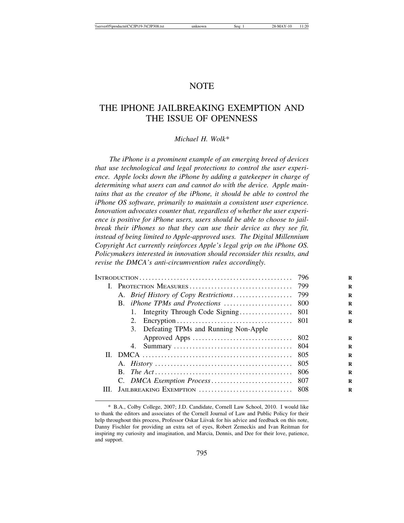# **NOTE**

# THE IPHONE JAILBREAKING EXEMPTION AND THE ISSUE OF OPENNESS

# *Michael H. Wolk\**

*The iPhone is a prominent example of an emerging breed of devices that use technological and legal protections to control the user experience. Apple locks down the iPhone by adding a gatekeeper in charge of determining what users can and cannot do with the device. Apple maintains that as the creator of the iPhone, it should be able to control the iPhone OS software, primarily to maintain a consistent user experience. Innovation advocates counter that, regardless of whether the user experience is positive for iPhone users, users should be able to choose to jailbreak their iPhones so that they can use their device as they see fit, instead of being limited to Apple-approved uses. The Digital Millennium Copyright Act currently reinforces Apple's legal grip on the iPhone OS. Policymakers interested in innovation should reconsider this results, and revise the DMCA's anti-circumvention rules accordingly.*

|                                         | -796 |
|-----------------------------------------|------|
|                                         |      |
|                                         |      |
| B. <i>iPhone TPMs and Protections</i>   | -800 |
|                                         |      |
|                                         |      |
| 3. Defeating TPMs and Running Non-Apple |      |
|                                         |      |
|                                         |      |
|                                         | 805  |
|                                         | -805 |
|                                         | -806 |
|                                         |      |
|                                         |      |

<sup>\*</sup> B.A., Colby College, 2007; J.D. Candidate, Cornell Law School, 2010. I would like to thank the editors and associates of the Cornell Journal of Law and Public Policy for their help throughout this process, Professor Oskar Liivak for his advice and feedback on this note, Danny Fischler for providing an extra set of eyes, Robert Zemeckis and Ivan Reitman for inspiring my curiosity and imagination, and Marcia, Dennis, and Dee for their love, patience, and support.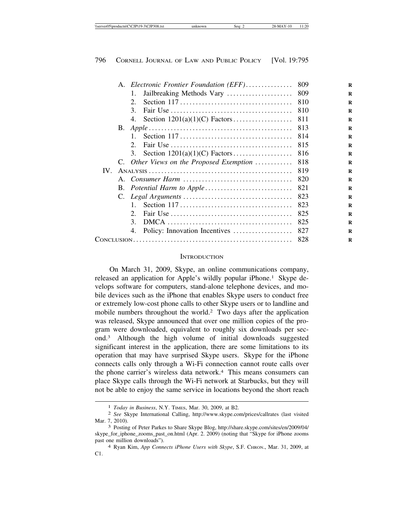|     |           | A. Electronic Frontier Foundation (EFF)                                                             | 809 |
|-----|-----------|-----------------------------------------------------------------------------------------------------|-----|
|     |           | Jailbreaking Methods Vary<br>1.                                                                     | 809 |
|     |           | Section $117 \ldots \ldots \ldots \ldots \ldots \ldots \ldots \ldots \ldots \ldots$<br>$2_{1}$      | 810 |
|     |           | 3 <sub>1</sub>                                                                                      | 810 |
|     |           |                                                                                                     | 811 |
|     | <b>B.</b> |                                                                                                     | 813 |
|     |           | $1_{\cdots}$<br>Section $117 \ldots \ldots \ldots \ldots \ldots \ldots \ldots \ldots \ldots \ldots$ | 814 |
|     |           | 2.                                                                                                  | 815 |
|     |           |                                                                                                     | 816 |
|     |           | C. Other Views on the Proposed Exemption                                                            | 818 |
| IV. |           |                                                                                                     | 819 |
|     |           | A. Consumer Harm                                                                                    | 820 |
|     |           |                                                                                                     | 821 |
|     |           |                                                                                                     | 823 |
|     |           | $\mathbf{1}$                                                                                        | 823 |
|     |           | $2^{\circ}$                                                                                         | 825 |
|     |           | 3.                                                                                                  | 825 |
|     |           | 4. Policy: Innovation Incentives                                                                    | 827 |
|     |           |                                                                                                     | 828 |
|     |           |                                                                                                     |     |

#### **INTRODUCTION**

On March 31, 2009, Skype, an online communications company, released an application for Apple's wildly popular iPhone.<sup>1</sup> Skype develops software for computers, stand-alone telephone devices, and mobile devices such as the iPhone that enables Skype users to conduct free or extremely low-cost phone calls to other Skype users or to landline and mobile numbers throughout the world.2 Two days after the application was released, Skype announced that over one million copies of the program were downloaded, equivalent to roughly six downloads per second.3 Although the high volume of initial downloads suggested significant interest in the application, there are some limitations to its operation that may have surprised Skype users. Skype for the iPhone connects calls only through a Wi-Fi connection cannot route calls over the phone carrier's wireless data network.4 This means consumers can place Skype calls through the Wi-Fi network at Starbucks, but they will not be able to enjoy the same service in locations beyond the short reach

<sup>1</sup> *Today in Business*, N.Y. TIMES, Mar. 30, 2009, at B2. <sup>2</sup> *See* Skype International Calling, http://www.skype.com/prices/callrates (last visited Mar. 7, 2010). <sup>3</sup> Posting of Peter Parkes to Share Skype Blog, http://share.skype.com/sites/en/2009/04/

skype\_for\_iphone\_zooms\_past\_on.html (Apr. 2. 2009) (noting that "Skype for iPhone zooms past one million downloads"). <sup>4</sup> Ryan Kim, *App Connects iPhone Users with Skype*, S.F. CHRON., Mar. 31, 2009, at

C1.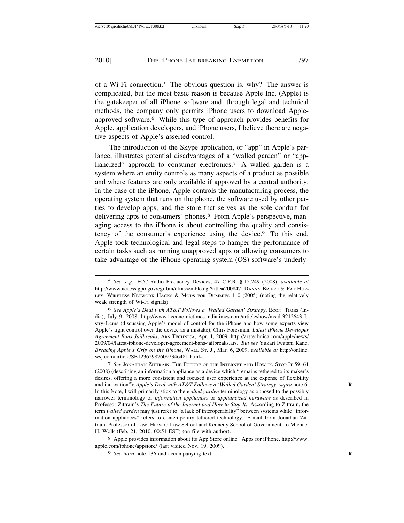of a Wi-Fi connection.5 The obvious question is, why? The answer is complicated, but the most basic reason is because Apple Inc. (Apple) is the gatekeeper of all iPhone software and, through legal and technical methods, the company only permits iPhone users to download Appleapproved software.6 While this type of approach provides benefits for Apple, application developers, and iPhone users, I believe there are negative aspects of Apple's asserted control.

The introduction of the Skype application, or "app" in Apple's parlance, illustrates potential disadvantages of a "walled garden" or "appliancized" approach to consumer electronics.7 A walled garden is a system where an entity controls as many aspects of a product as possible and where features are only available if approved by a central authority. In the case of the iPhone, Apple controls the manufacturing process, the operating system that runs on the phone, the software used by other parties to develop apps, and the store that serves as the sole conduit for delivering apps to consumers' phones.<sup>8</sup> From Apple's perspective, managing access to the iPhone is about controlling the quality and consistency of the consumer's experience using the device.9 To this end, Apple took technological and legal steps to hamper the performance of certain tasks such as running unapproved apps or allowing consumers to take advantage of the iPhone operating system (OS) software's underly-

7 *See* JONATHAN ZITTRAIN, THE FUTURE OF THE INTERNET AND HOW TO STOP IT 59–61 (2008) (describing an information appliance as a device which "remains tethered to its maker's desires, offering a more consistent and focused user experience at the expense of flexibility and innovation"); *Apple's Deal with AT&T Follows a 'Walled Garden' Strategy*, *supra* note 6. **R** In this Note, I will primarily stick to the *walled garden* terminology as opposed to the possibly narrower terminology of *information appliances* or *appliancized hardware* as described in Professor Zittrain's *The Future of the Internet and How to Stop It*. According to Zittrain, the term *walled garden* may just refer to "a lack of interoperability" between systems while "information appliances" refers to contemporary tethered technology. E-mail from Jonathan Zittrain, Professor of Law, Harvard Law School and Kennedy School of Government, to Michael H. Wolk (Feb. 21, 2010, 00:51 EST) (on file with author).

8 Apple provides information about its App Store online. Apps for iPhone, http://www. apple.com/iphone/appstore/ (last visited Nov. 19, 2009).

9 *See infra* note 136 and accompanying text. **R**

<sup>5</sup> *See, e.g.*, FCC Radio Frequency Devices, 47 C.F.R. § 15.249 (2008), *available at* http://www.access.gpo.gov/cgi-bin/cfrassemble.cgi?title=200847; DANNY BRIERE & PAT HUR-LEY, WIRELESS NETWORK HACKS & MODS FOR DUMMIES 110 (2005) (noting the relatively weak strength of Wi-Fi signals).

<sup>6</sup> *See Apple's Deal with AT&T Follows a 'Walled Garden' Strategy*, ECON. TIMES (India), July 9, 2008, http://www1.economictimes.indiatimes.com/articleshow/msid-3212643,flstry-1.cms (discussing Apple's model of control for the iPhone and how some experts view Apple's tight control over the device as a mistake); Chris Foresman, *Latest iPhone Developer Agreement Bans Jailbreaks*, ARS TECHNICA, Apr. 1, 2009, http://arstechnica.com/apple/news/ 2009/04/latest-iphone-developer-agreement-bans-jailbreaks.ars. *But see* Yukari Iwatani Kane, *Breaking Apple's Grip on the iPhone*, WALL ST. J., Mar. 6, 2009, a*vailable at* http://online. wsj.com/article/SB123629876097346481.html#.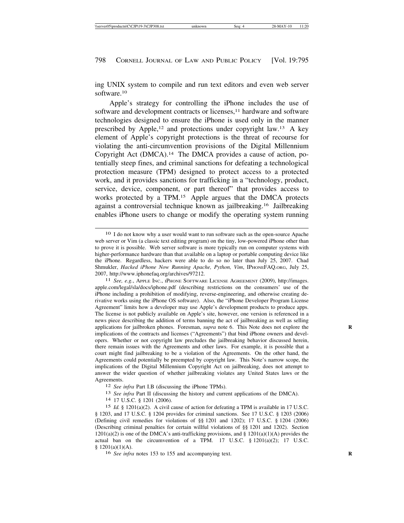ing UNIX system to compile and run text editors and even web server software.10

Apple's strategy for controlling the iPhone includes the use of software and development contracts or licenses,<sup>11</sup> hardware and software technologies designed to ensure the iPhone is used only in the manner prescribed by Apple,<sup>12</sup> and protections under copyright law.<sup>13</sup> A key element of Apple's copyright protections is the threat of recourse for violating the anti-circumvention provisions of the Digital Millennium Copyright Act (DMCA).14 The DMCA provides a cause of action, potentially steep fines, and criminal sanctions for defeating a technological protection measure (TPM) designed to protect access to a protected work, and it provides sanctions for trafficking in a "technology, product, service, device, component, or part thereof" that provides access to works protected by a TPM.15 Apple argues that the DMCA protects against a controversial technique known as jailbreaking.16 Jailbreaking enables iPhone users to change or modify the operating system running

<sup>10</sup> I do not know why a user would want to run software such as the open-source Apache web server or Vim (a classic text editing program) on the tiny, low-powered iPhone other than to prove it is possible. Web server software is more typically run on computer systems with higher-performance hardware than that available on a laptop or portable computing device like the iPhone. Regardless, hackers were able to do so no later than July 25, 2007. Chad Shmukler, *Hacked iPhone Now Running Apache, Python, Vim*, IPHONEFAQ.ORG, July 25, 2007, http://www.iphonefaq.org/archives/97212. <sup>11</sup> *See, e.g.*, APPLE INC., IPHONE SOFTWARE LICENSE AGREEMENT (2009), http://images.

apple.com/legal/sla/docs/iphone.pdf (describing restrictions on the consumers' use of the iPhone including a prohibition of modifying, reverse-engineering, and otherwise creating derivative works using the iPhone OS software). Also, the "iPhone Developer Program License Agreement" limits how a developer may use Apple's development products to produce apps. The license is not publicly available on Apple's site, however, one version is referenced in a news piece describing the addition of terms banning the act of jailbreaking as well as selling applications for jailbroken phones. Foresman, *supra* note 6. This Note does not explore the implications of the contracts and licenses ("Agreements") that bind iPhone owners and developers. Whether or not copyright law precludes the jailbreaking behavior discussed herein, there remain issues with the Agreements and other laws. For example, it is possible that a court might find jailbreaking to be a violation of the Agreements. On the other hand, the Agreements could potentially be preempted by copyright law. This Note's narrow scope, the implications of the Digital Millennium Copyright Act on jailbreaking, does not attempt to answer the wider question of whether jailbreaking violates any United States laws or the

Agreements.<br><sup>12</sup> *See infra* Part I.B (discussing the iPhone TPMs).<br><sup>13</sup> *See infra* Part II (discussing the history and current applications of the DMCA).<br><sup>14</sup> 17 U.S.C. § 1201 (2006).

<sup>15</sup> *Id.* § 1201(a)(2). A civil cause of action for defeating a TPM is available in 17 U.S.C. § 1203, and 17 U.S.C. § 1204 provides for criminal sanctions. See 17 U.S.C. § 1203 (2006) (Defining civil remedies for violations of §§ 1201 and 1202); 17 U.S.C. § 1204 (2006) (Describing criminal penalties for certain willful violations of §§ 1201 and 1202). Section  $1201(a)(2)$  is one of the DMCA's anti-trafficking provisions, and §  $1201(a)(1)(A)$  provides the actual ban on the circumvention of a TPM. 17 U.S.C.  $\S$  1201(a)(2); 17 U.S.C.  $$ 1201(a)(1)(A).$ 

<sup>16</sup> *See infra* notes 153 to 155 and accompanying text. **R**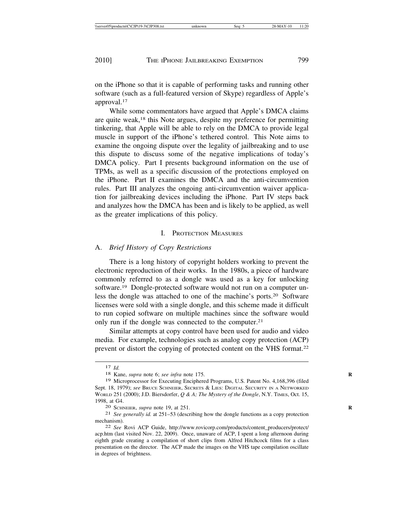on the iPhone so that it is capable of performing tasks and running other software (such as a full-featured version of Skype) regardless of Apple's approval.17

While some commentators have argued that Apple's DMCA claims are quite weak,18 this Note argues, despite my preference for permitting tinkering, that Apple will be able to rely on the DMCA to provide legal muscle in support of the iPhone's tethered control. This Note aims to examine the ongoing dispute over the legality of jailbreaking and to use this dispute to discuss some of the negative implications of today's DMCA policy. Part I presents background information on the use of TPMs, as well as a specific discussion of the protections employed on the iPhone. Part II examines the DMCA and the anti-circumvention rules. Part III analyzes the ongoing anti-circumvention waiver application for jailbreaking devices including the iPhone. Part IV steps back and analyzes how the DMCA has been and is likely to be applied, as well as the greater implications of this policy.

## I. PROTECTION MEASURES

# A. *Brief History of Copy Restrictions*

There is a long history of copyright holders working to prevent the electronic reproduction of their works. In the 1980s, a piece of hardware commonly referred to as a dongle was used as a key for unlocking software.19 Dongle-protected software would not run on a computer unless the dongle was attached to one of the machine's ports.20 Software licenses were sold with a single dongle, and this scheme made it difficult to run copied software on multiple machines since the software would only run if the dongle was connected to the computer.21

Similar attempts at copy control have been used for audio and video media. For example, technologies such as analog copy protection (ACP) prevent or distort the copying of protected content on the VHS format.22

<sup>17</sup> *Id.* <sup>18</sup> Kane, *supra* note 6; *see infra* note 175. **<sup>R</sup>**

<sup>19</sup> Microprocessor for Executing Enciphered Programs, U.S. Patent No. 4,168,396 (filed Sept. 18, 1979); *see* BRUCE SCHNEIER, SECRETS & LIES: DIGITAL SECURITY IN A NETWORKED WORLD 251 (2000); J.D. Biersdorfer, *Q & A; The Mystery of the Dongle*, N.Y. TIMES, Oct. 15, 1998, at G4. <sup>20</sup> SCHNEIER, *supra* note 19, at 251. **<sup>R</sup>**

<sup>21</sup> *See generally id.* at 251–53 (describing how the dongle functions as a copy protection mechanism).<br><sup>22</sup> *See* Rovi ACP Guide, http://www.rovicorp.com/products/content\_producers/protect/

acp.htm (last visited Nov. 22, 2009). Once, unaware of ACP, I spent a long afternoon during eighth grade creating a compilation of short clips from Alfred Hitchcock films for a class presentation on the director. The ACP made the images on the VHS tape compilation oscillate in degrees of brightness.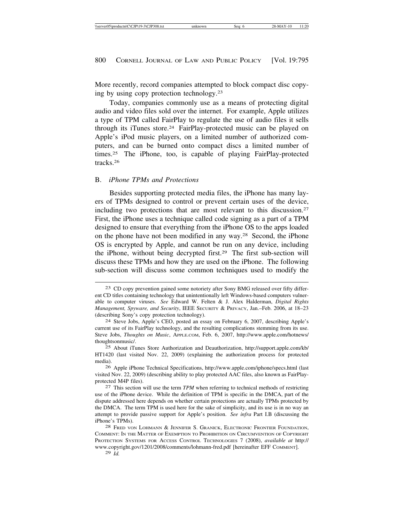More recently, record companies attempted to block compact disc copying by using copy protection technology.23

Today, companies commonly use as a means of protecting digital audio and video files sold over the internet. For example, Apple utilizes a type of TPM called FairPlay to regulate the use of audio files it sells through its iTunes store.24 FairPlay-protected music can be played on Apple's iPod music players, on a limited number of authorized computers, and can be burned onto compact discs a limited number of times.25 The iPhone, too, is capable of playing FairPlay-protected tracks.26

#### B. *iPhone TPMs and Protections*

Besides supporting protected media files, the iPhone has many layers of TPMs designed to control or prevent certain uses of the device, including two protections that are most relevant to this discussion.27 First, the iPhone uses a technique called code signing as a part of a TPM designed to ensure that everything from the iPhone OS to the apps loaded on the phone have not been modified in any way.28 Second, the iPhone OS is encrypted by Apple, and cannot be run on any device, including the iPhone, without being decrypted first.29 The first sub-section will discuss these TPMs and how they are used on the iPhone. The following sub-section will discuss some common techniques used to modify the

<sup>23</sup> CD copy prevention gained some notoriety after Sony BMG released over fifty different CD titles containing technology that unintentionally left Windows-based computers vulnerable to computer viruses. *See* Edward W. Felten & J. Alex Halderman, *Digital Rights Management, Spyware, and Security*, IEEE SECURITY & PRIVACY, Jan.–Feb. 2006, at 18–23 (describing Sony's copy protection technology). <sup>24</sup> Steve Jobs, Apple's CEO, posted an essay on February 6, 2007, describing Apple's

current use of its FairPlay technology, and the resulting complications stemming from its use. Steve Jobs, *Thoughts on Music*, APPLE.COM, Feb. 6, 2007, http://www.apple.com/hotnews/ thoughtsonmusic/.

<sup>25</sup> About iTunes Store Authorization and Deauthorization, http://support.apple.com/kb/ HT1420 (last visited Nov. 22, 2009) (explaining the authorization process for protected media).

<sup>26</sup> Apple iPhone Technical Specifications, http://www.apple.com/iphone/specs.html (last visited Nov. 22, 2009) (describing ability to play protected AAC files, also known as FairPlayprotected M4P files). <sup>27</sup> This section will use the term *TPM* when referring to technical methods of restricting

use of the iPhone device. While the definition of TPM is specific in the DMCA, part of the dispute addressed here depends on whether certain protections are actually TPMs protected by the DMCA. The term TPM is used here for the sake of simplicity, and its use is in no way an attempt to provide passive support for Apple's position. *See infra* Part I.B (discussing the iPhone's TPMs). <sup>28</sup> FRED VON LOHMANN & JENNIFER S. GRANICK, ELECTRONIC FRONTIER FOUNDATION,

COMMENT: IN THE MATTER OF EXEMPTION TO PROHIBITION ON CIRCUMVENTION OF COPYRIGHT PROTECTION SYSTEMS FOR ACCESS CONTROL TECHNOLOGIES 7 (2008), *available at* http:// www.copyright.gov/1201/2008/comments/lohmann-fred.pdf [hereinafter EFF COMMENT].

<sup>29</sup> *Id.*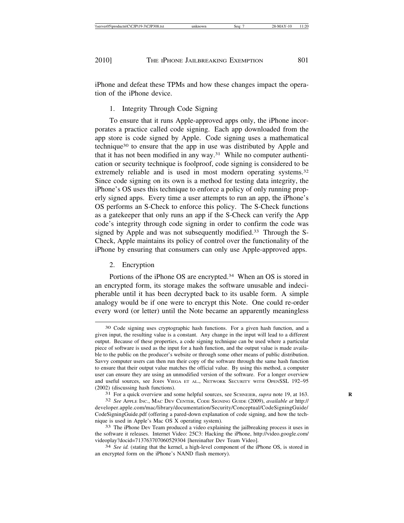iPhone and defeat these TPMs and how these changes impact the operation of the iPhone device.

# 1. Integrity Through Code Signing

To ensure that it runs Apple-approved apps only, the iPhone incorporates a practice called code signing. Each app downloaded from the app store is code signed by Apple. Code signing uses a mathematical technique30 to ensure that the app in use was distributed by Apple and that it has not been modified in any way.<sup>31</sup> While no computer authentication or security technique is foolproof, code signing is considered to be extremely reliable and is used in most modern operating systems.<sup>32</sup> Since code signing on its own is a method for testing data integrity, the iPhone's OS uses this technique to enforce a policy of only running properly signed apps. Every time a user attempts to run an app, the iPhone's OS performs an S-Check to enforce this policy. The S-Check functions as a gatekeeper that only runs an app if the S-Check can verify the App code's integrity through code signing in order to confirm the code was signed by Apple and was not subsequently modified.<sup>33</sup> Through the S-Check, Apple maintains its policy of control over the functionality of the iPhone by ensuring that consumers can only use Apple-approved apps.

# 2. Encryption

Portions of the iPhone OS are encrypted.<sup>34</sup> When an OS is stored in an encrypted form, its storage makes the software unusable and indecipherable until it has been decrypted back to its usable form. A simple analogy would be if one were to encrypt this Note. One could re-order every word (or letter) until the Note became an apparently meaningless

(2002) (discussing hash functions).<br><sup>31</sup> For a quick overview and some helpful sources, see SCHNEIER, *supra* note 19, at 163.

<sup>30</sup> Code signing uses cryptographic hash functions. For a given hash function, and a given input, the resulting value is a constant. Any change in the input will lead to a different output. Because of these properties, a code signing technique can be used where a particular piece of software is used as the input for a hash function, and the output value is made available to the public on the producer's website or through some other means of public distribution. Savvy computer users can then run their copy of the software through the same hash function to ensure that their output value matches the official value. By using this method, a computer user can ensure they are using an unmodified version of the software. For a longer overview and useful sources, see JOHN VIEGA ET AL., NETWORK SECURITY WITH OPENSSL 192–95

<sup>32</sup> *See* APPLE INC., MAC DEV CENTER, CODE SIGNING GUIDE (2009), *available at* http:// developer.apple.com/mac/library/documentation/Security/Conceptual/CodeSigningGuide/ CodeSigningGuide.pdf (offering a pared-down explanation of code signing, and how the technique is used in Apple's Mac OS X operating system).<br><sup>33</sup> The iPhone Dev Team produced a video explaining the jailbreaking process it uses in

the software it releases. Internet Video: 25C3: Hacking the iPhone, http://video.google.com/

<sup>&</sup>lt;sup>34</sup> See id. (stating that the kernel, a high-level component of the iPhone OS, is stored in an encrypted form on the iPhone's NAND flash memory).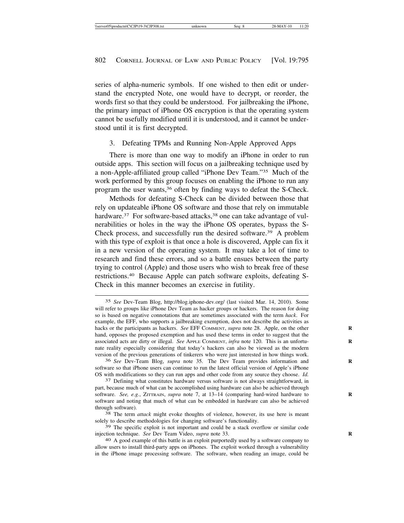series of alpha-numeric symbols. If one wished to then edit or understand the encrypted Note, one would have to decrypt, or reorder, the words first so that they could be understood. For jailbreaking the iPhone, the primary impact of iPhone OS encryption is that the operating system cannot be usefully modified until it is understood, and it cannot be understood until it is first decrypted.

# 3. Defeating TPMs and Running Non-Apple Approved Apps

There is more than one way to modify an iPhone in order to run outside apps. This section will focus on a jailbreaking technique used by a non-Apple-affiliated group called "iPhone Dev Team."35 Much of the work performed by this group focuses on enabling the iPhone to run any program the user wants,36 often by finding ways to defeat the S-Check.

Methods for defeating S-Check can be divided between those that rely on updateable iPhone OS software and those that rely on immutable hardware.<sup>37</sup> For software-based attacks,<sup>38</sup> one can take advantage of vulnerabilities or holes in the way the iPhone OS operates, bypass the S-Check process, and successfully run the desired software.39 A problem with this type of exploit is that once a hole is discovered, Apple can fix it in a new version of the operating system. It may take a lot of time to research and find these errors, and so a battle ensues between the party trying to control (Apple) and those users who wish to break free of these restrictions.40 Because Apple can patch software exploits, defeating S-Check in this manner becomes an exercise in futility.

<sup>35</sup> *See* Dev-Team Blog, http://blog.iphone-dev.org/ (last visited Mar. 14, 2010). Some will refer to groups like iPhone Dev Team as hacker groups or hackers. The reason for doing so is based on negative connotations that are sometimes associated with the term *hack*. For example, the EFF, who supports a jailbreaking exemption, does not describe the activities as hacks or the participants as hackers. *See EFF COMMENT, supra* note 28. Apple, on the other hand, opposes the proposed exemption and has used these terms in order to suggest that the associated acts are dirty or illegal. *See* APPLE COMMENT, *infra* note 120. This is an unfortunate reality especially considering that today's hackers can also be viewed as the modern version of the previous generations of tinkerers who were just interested in how things work.

<sup>36</sup> *See* Dev-Team Blog, *supra* note 35. The Dev Team provides information and **R** software so that iPhone users can continue to run the latest official version of Apple's iPhone OS with modifications so they can run apps and other code from any source they choose. *Id.* 37 Defining what constitutes hardware versus software is not always straightforward, in

part, because much of what can be accomplished using hardware can also be achieved through software. See, e.g., ZITTRAIN, *supra* note 7, at 13-14 (comparing hard-wired hardware to software and noting that much of what can be embedded in hardware can also be achieved through software). <sup>38</sup> The term *attack* might evoke thoughts of violence, however, its use here is meant

solely to describe methodologies for changing software's functionality.

<sup>39</sup> The specific exploit is not important and could be a stack overflow or similar code injection technique. *See* Dev Team Video, *supra* note 33. **R**

<sup>40</sup> A good example of this battle is an exploit purportedly used by a software company to allow users to install third-party apps on iPhones. The exploit worked through a vulnerability in the iPhone image processing software. The software, when reading an image, could be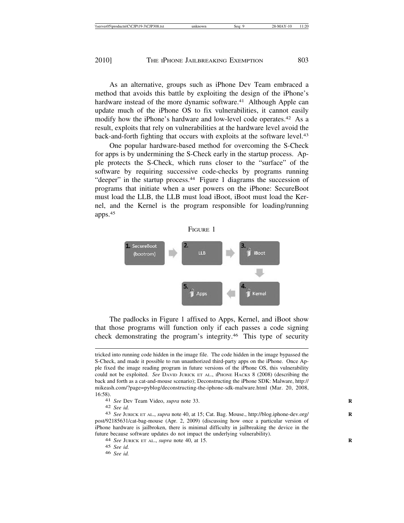As an alternative, groups such as iPhone Dev Team embraced a method that avoids this battle by exploiting the design of the iPhone's hardware instead of the more dynamic software.<sup>41</sup> Although Apple can update much of the iPhone OS to fix vulnerabilities, it cannot easily modify how the iPhone's hardware and low-level code operates.<sup>42</sup> As a result, exploits that rely on vulnerabilities at the hardware level avoid the back-and-forth fighting that occurs with exploits at the software level.<sup>43</sup>

One popular hardware-based method for overcoming the S-Check for apps is by undermining the S-Check early in the startup process. Apple protects the S-Check, which runs closer to the "surface" of the software by requiring successive code-checks by programs running "deeper" in the startup process.<sup>44</sup> Figure 1 diagrams the succession of programs that initiate when a user powers on the iPhone: SecureBoot must load the LLB, the LLB must load iBoot, iBoot must load the Kernel, and the Kernel is the program responsible for loading/running apps.45

#### FIGURE 1



The padlocks in Figure 1 affixed to Apps, Kernel, and iBoot show that those programs will function only if each passes a code signing check demonstrating the program's integrity.46 This type of security

tricked into running code hidden in the image file. The code hidden in the image bypassed the S-Check, and made it possible to run unauthorized third-party apps on the iPhone. Once Apple fixed the image reading program in future versions of the iPhone OS, this vulnerability could not be exploited. *See* DAVID JURICK ET AL., IPHONE HACKS 8 (2008) (describing the back and forth as a cat-and-mouse scenario); Deconstructing the iPhone SDK: Malware, http:// mikeash.com/?page=pyblog/deconstructing-the-iphone-sdk-malware.html (Mar. 20, 2008, 16:58).<br><sup>41</sup> *See* Dev Team Video, *supra* note 33.<br><sup>42</sup> *See id* 

<sup>42</sup> *See id.* <sup>43</sup> *See* JURICK ET AL., *supra* note 40, at 15; Cat. Bag. Mouse., http://blog.iphone-dev.org/ **<sup>R</sup>** post/92185631/cat-bag-mouse (Apr. 2, 2009) (discussing how once a particular version of iPhone hardware is jailbroken, there is minimal difficulty in jailbreaking the device in the future because software updates do not impact the underlying vulnerability). <sup>44</sup> *See* JURICK ET AL., *supra* note 40, at 15. **<sup>R</sup>**

<sup>45</sup> *See id.*

<sup>46</sup> *See id.*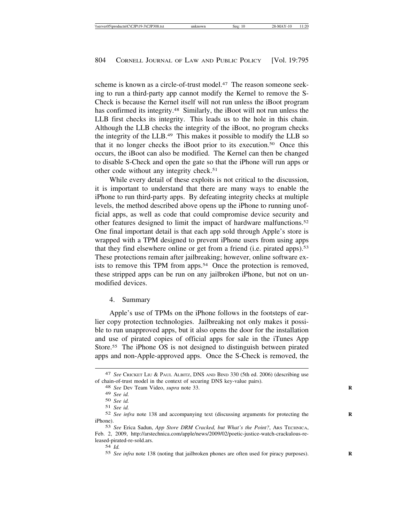scheme is known as a circle-of-trust model.<sup>47</sup> The reason someone seeking to run a third-party app cannot modify the Kernel to remove the S-Check is because the Kernel itself will not run unless the iBoot program has confirmed its integrity.<sup>48</sup> Similarly, the iBoot will not run unless the LLB first checks its integrity. This leads us to the hole in this chain. Although the LLB checks the integrity of the iBoot, no program checks the integrity of the LLB.49 This makes it possible to modify the LLB so that it no longer checks the iBoot prior to its execution.50 Once this occurs, the iBoot can also be modified. The Kernel can then be changed to disable S-Check and open the gate so that the iPhone will run apps or other code without any integrity check.<sup>51</sup>

While every detail of these exploits is not critical to the discussion, it is important to understand that there are many ways to enable the iPhone to run third-party apps. By defeating integrity checks at multiple levels, the method described above opens up the iPhone to running unofficial apps, as well as code that could compromise device security and other features designed to limit the impact of hardware malfunctions.52 One final important detail is that each app sold through Apple's store is wrapped with a TPM designed to prevent iPhone users from using apps that they find elsewhere online or get from a friend (i.e. pirated apps).<sup>53</sup> These protections remain after jailbreaking; however, online software exists to remove this TPM from apps.<sup>54</sup> Once the protection is removed, these stripped apps can be run on any jailbroken iPhone, but not on unmodified devices.

### 4. Summary

Apple's use of TPMs on the iPhone follows in the footsteps of earlier copy protection technologies. Jailbreaking not only makes it possible to run unapproved apps, but it also opens the door for the installation and use of pirated copies of official apps for sale in the iTunes App Store.55 The iPhone OS is not designed to distinguish between pirated apps and non-Apple-approved apps. Once the S-Check is removed, the

54 *Id.*

55 *See infra* note 138 (noting that jailbroken phones are often used for piracy purposes). **R**

<sup>47</sup> *See* CRICKET LIU & PAUL ALBITZ, DNS AND BIND 330 (5th ed. 2006) (describing use of chain-of-trust model in the context of securing DNS key-value pairs). <sup>48</sup> *See* Dev Team Video, *supra* note 33. **<sup>R</sup>**

<sup>49</sup> *See id.*

<sup>50</sup> *See id.*

<sup>51</sup> *See id.*

<sup>52</sup> *See infra* note 138 and accompanying text (discussing arguments for protecting the **R** iPhone).

<sup>53</sup> *See* Erica Sadun, *App Store DRM Cracked, but What's the Point?*, ARS TECHNICA, Feb. 2, 2009, http://arstechnica.com/apple/news/2009/02/poetic-justice-watch-crackulous-released-pirated-re-sold.ars.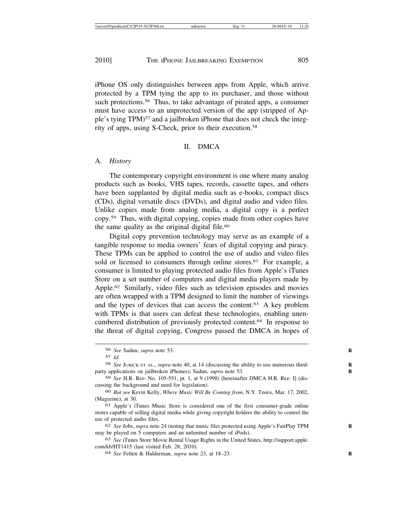iPhone OS only distinguishes between apps from Apple, which arrive protected by a TPM tying the app to its purchaser, and those without such protections.<sup>56</sup> Thus, to take advantage of pirated apps, a consumer must have access to an unprotected version of the app (stripped of Apple's tying TPM)57 and a jailbroken iPhone that does not check the integrity of apps, using S-Check, prior to their execution.58

#### II. DMCA

#### A. *History*

The contemporary copyright environment is one where many analog products such as books, VHS tapes, records, cassette tapes, and others have been supplanted by digital media such as e-books, compact discs (CDs), digital versatile discs (DVDs), and digital audio and video files. Unlike copies made from analog media, a digital copy is a perfect copy.59 Thus, with digital copying, copies made from other copies have the same quality as the original digital file.<sup>60</sup>

Digital copy prevention technology may serve as an example of a tangible response to media owners' fears of digital copying and piracy. These TPMs can be applied to control the use of audio and video files sold or licensed to consumers through online stores.<sup>61</sup> For example, a consumer is limited to playing protected audio files from Apple's iTunes Store on a set number of computers and digital media players made by Apple.62 Similarly, video files such as television episodes and movies are often wrapped with a TPM designed to limit the number of viewings and the types of devices that can access the content.63 A key problem with TPMs is that users can defeat these technologies, enabling unencumbered distribution of previously protected content.64 In response to the threat of digital copying, Congress passed the DMCA in hopes of

<sup>56</sup> *See* Sadun, *supra* note 53. **R**

<sup>57</sup> *Id.*

<sup>58</sup> *See* JURICK ET AL., *supra* note 40, at 14 (discussing the ability to use numerous third- **R** party applications on jailbroken iPhones); Sadun, *supra* note 53. **R**

<sup>59</sup> *See* H.R. REP. No. 105-551, pt. 1, at 9 (1998) [hereinafter DMCA H.R. REP. I] (discussing the background and need for legislation).

<sup>60</sup> *But see* Kevin Kelly, *Where Music Will Be Coming from*, N.Y. TIMES, Mar. 17, 2002, (Magazine), at 30.

<sup>61</sup> Apple's iTunes Music Store is considered one of the first consumer-grade online stores capable of selling digital media while giving copyright holders the ability to control the use of protected audio files.

<sup>62</sup> *See* Jobs, *supra* note 24 (noting that music files protected using Apple's FairPlay TPM **R** may be played on 5 computers and an unlimited number of iPods).

<sup>63</sup> *See* iTunes Store Movie Rental Usage Rights in the United States, http://support.apple. com/kb/HT1415 (last visited Feb. 28, 2010).

<sup>64</sup> *See* Felten & Halderman, *supra* note 23, at 18–23. **R**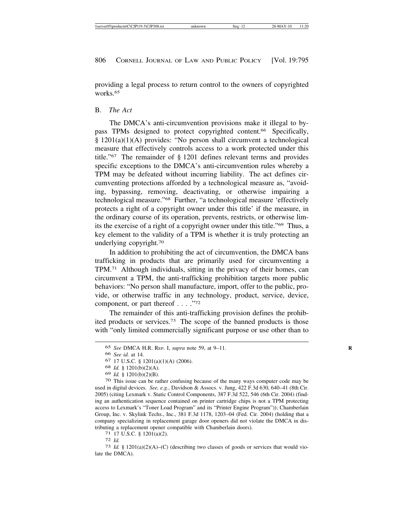providing a legal process to return control to the owners of copyrighted works.65

### B. *The Act*

The DMCA's anti-circumvention provisions make it illegal to bypass TPMs designed to protect copyrighted content.66 Specifically, § 1201(a)(1)(A) provides: "No person shall circumvent a technological measure that effectively controls access to a work protected under this title."67 The remainder of § 1201 defines relevant terms and provides specific exceptions to the DMCA's anti-circumvention rules whereby a TPM may be defeated without incurring liability. The act defines circumventing protections afforded by a technological measure as, "avoiding, bypassing, removing, deactivating, or otherwise impairing a technological measure."68 Further, "a technological measure 'effectively protects a right of a copyright owner under this title' if the measure, in the ordinary course of its operation, prevents, restricts, or otherwise limits the exercise of a right of a copyright owner under this title."69 Thus, a key element to the validity of a TPM is whether it is truly protecting an underlying copyright.70

In addition to prohibiting the act of circumvention, the DMCA bans trafficking in products that are primarily used for circumventing a TPM.71 Although individuals, sitting in the privacy of their homes, can circumvent a TPM, the anti-trafficking prohibition targets more public behaviors: "No person shall manufacture, import, offer to the public, provide, or otherwise traffic in any technology, product, service, device, component, or part thereof . . . . "72

The remainder of this anti-trafficking provision defines the prohibited products or services.73 The scope of the banned products is those with "only limited commercially significant purpose or use other than to

<sup>65</sup> *See* DMCA H.R. REP. I, *supra* note 59, at 9–11. **R**

<sup>66</sup> *See id.* at 14.

<sup>67</sup> 17 U.S.C. § 1201(a)(1)(A) (2006).

<sup>68</sup> *Id.* § 1201(b)(2)(A).

<sup>69</sup> *Id.* § 1201(b)(2)(B). <sup>70</sup> This issue can be rather confusing because of the many ways computer code may be used in digital devices. *See, e.g.*, Davidson & Assocs. v. Jung, 422 F.3d 630, 640–41 (8th Cir. 2005) (citing Lexmark v. Static Control Components, 387 F.3d 522, 546 (6th Cir. 2004) (finding an authentication sequence contained on printer cartridge chips is not a TPM protecting access to Lexmark's "Toner Load Program" and its "Printer Engine Program")); Chamberlain Group, Inc. v. Skylink Techs., Inc., 381 F.3d 1178, 1203–04 (Fed. Cir. 2004) (holding that a company specializing in replacement garage door openers did not violate the DMCA in distributing a replacement opener compatible with Chamberlain doors).<br>
<sup>71</sup> 17 U.S.C. § 1201(a)(2).<br>
<sup>72</sup> *Id.* <sup>73</sup> *Id.* § 1201(a)(2)(A)–(C) (describing two classes of goods or services that would vio-

late the DMCA).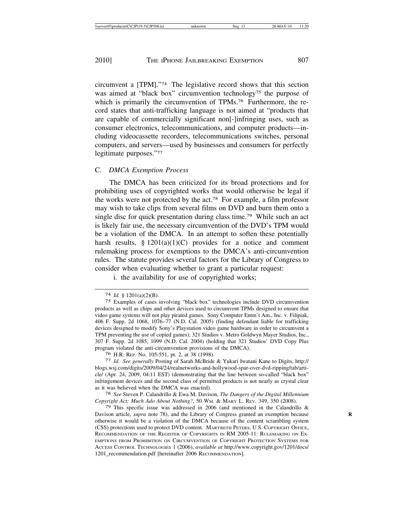circumvent a [TPM]."74 The legislative record shows that this section was aimed at "black box" circumvention technology<sup>75</sup> the purpose of which is primarily the circumvention of TPMs.<sup>76</sup> Furthermore, the record states that anti-trafficking language is not aimed at "products that are capable of commercially significant non[-]infringing uses, such as consumer electronics, telecommunications, and computer products—including videocassette recorders, telecommunications switches, personal computers, and servers—used by businesses and consumers for perfectly legitimate purposes."77

### C. *DMCA Exemption Process*

The DMCA has been criticized for its broad protections and for prohibiting uses of copyrighted works that would otherwise be legal if the works were not protected by the act.78 For example, a film professor may wish to take clips from several films on DVD and burn them onto a single disc for quick presentation during class time.79 While such an act is likely fair use, the necessary circumvention of the DVD's TPM would be a violation of the DMCA. In an attempt to soften these potentially harsh results,  $\S 1201(a)(1)(C)$  provides for a notice and comment rulemaking process for exemptions to the DMCA's anti-circumvention rules. The statute provides several factors for the Library of Congress to consider when evaluating whether to grant a particular request:

i. the availability for use of copyrighted works;

<sup>74</sup> *Id.* § 1201(a)(2)(B).

<sup>75</sup> Examples of cases involving "black box" technologies include DVD circumvention products as well as chips and other devices used to circumvent TPMs designed to ensure that video game systems will not play pirated games. Sony Computer Entm't Am., Inc. v. Filipiak, 406 F. Supp. 2d 1068, 1076–77 (N.D. Cal. 2005) (finding defendant liable for trafficking devices designed to modify Sony's Playstation video game hardware in order to circumvent a TPM preventing the use of copied games); 321 Studios v. Metro Goldwyn Mayer Studios, Inc., 307 F. Supp. 2d 1085, 1099 (N.D. Cal. 2004) (holding that 321 Studios' DVD Copy Plus program violated the anti-circumvention provisions of the DMCA).<br><sup>76</sup> H.R. REP. No. 105-551, pt. 2, at 38 (1998).

<sup>76</sup> H.R. REP. No. 105-551, pt. 2, at 38 (1998). <sup>77</sup> *Id. See generally* Posting of Sarah McBride & Yukari Iwatani Kane to Digits, http:// blogs.wsj.com/digits/2009/04/24/realnetworks-and-hollywood-spar-over-dvd-ripping/tab/article/ (Apr. 24, 2009, 04:11 EST) (demonstrating that the line between so-called "black box" infringement devices and the second class of permitted products is not nearly as crystal clear as it was believed when the DMCA was enacted). <sup>78</sup> *See* Steven P. Calandrillo & Ewa M. Davison, *The Dangers of the Digital Millennium*

*Copyright Act: Much Ado About Nothing?*, 50 WM. & MARY L. REV. 349, 350 (2008).

<sup>79</sup> This specific issue was addressed in 2006 (and mentioned in the Calandrillo & Davison article, *supra* note 78), and the Library of Congress granted an exemption because otherwise it would be a violation of the DMCA because of the content scrambling system (CSS) protections used to protect DVD content. MARYBETH PETERS, U.S. COPYRIGHT OFFICE, RECOMMENDATION OF THE REGISTER OF COPYRIGHTS IN RM 2005-11: RULEMAKING ON EX-EMPTIONS FROM PROHIBITION ON CIRCUMVENTION OF COPYRIGHT PROTECTION SYSTEMS FOR ACCESS CONTROL TECHNOLOGIES 1 (2006), *available at* http://www.copyright.gov/1201/docs/ 1201\_recommendation.pdf [hereinafter 2006 RECOMMENDATION].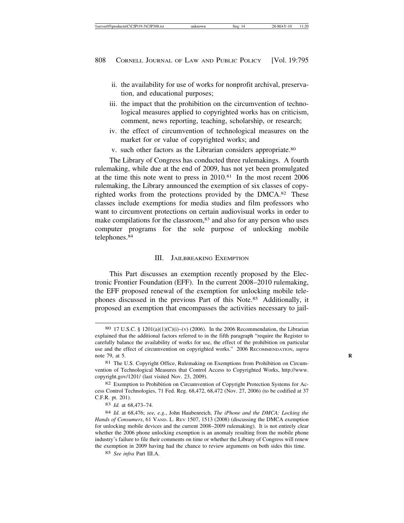- ii. the availability for use of works for nonprofit archival, preservation, and educational purposes;
- iii. the impact that the prohibition on the circumvention of technological measures applied to copyrighted works has on criticism, comment, news reporting, teaching, scholarship, or research;
- iv. the effect of circumvention of technological measures on the market for or value of copyrighted works; and
- v. such other factors as the Librarian considers appropriate.80

The Library of Congress has conducted three rulemakings. A fourth rulemaking, while due at the end of 2009, has not yet been promulgated at the time this note went to press in 2010.81 In the most recent 2006 rulemaking, the Library announced the exemption of six classes of copyrighted works from the protections provided by the DMCA.82 These classes include exemptions for media studies and film professors who want to circumvent protections on certain audiovisual works in order to make compilations for the classroom,<sup>83</sup> and also for any person who uses computer programs for the sole purpose of unlocking mobile telephones.84

## III. JAILBREAKING EXEMPTION

This Part discusses an exemption recently proposed by the Electronic Frontier Foundation (EFF). In the current 2008–2010 rulemaking, the EFF proposed renewal of the exemption for unlocking mobile telephones discussed in the previous Part of this Note.85 Additionally, it proposed an exemption that encompasses the activities necessary to jail-

<sup>80</sup> 17 U.S.C. § 1201(a)(1)(C)(i)–(v) (2006). In the 2006 Recommendation, the Librarian explained that the additional factors referred to in the fifth paragraph "require the Register to carefully balance the availability of works for use, the effect of the prohibition on particular use and the effect of circumvention on copyrighted works." 2006 RECOMMENDATION, *supra* note 79, at 5. **R**

<sup>81</sup> The U.S. Copyright Office, Rulemaking on Exemptions from Prohibition on Circumvention of Technological Measures that Control Access to Copyrighted Works, http://www. copyright.gov/1201/ (last visited Nov. 23, 2009).

<sup>82</sup> Exemption to Prohibition on Circumvention of Copyright Protection Systems for Access Control Technologies, 71 Fed. Reg. 68,472, 68,472 (Nov. 27, 2006) (to be codified at 37 C.F.R. pt. 201).

<sup>83</sup> *Id.* at 68,473–74.

<sup>84</sup> *Id.* at 68,476; *see, e.g.*, John Haubenreich, *The iPhone and the DMCA: Locking the* Hands of Consumers, 61 VAND. L. REV 1507, 1513 (2008) (discussing the DMCA exemption for unlocking mobile devices and the current 2008–2009 rulemaking). It is not entirely clear whether the 2006 phone unlocking exemption is an anomaly resulting from the mobile phone industry's failure to file their comments on time or whether the Library of Congress will renew the exemption in 2009 having had the chance to review arguments on both sides this time.

<sup>85</sup> *See infra* Part III.A.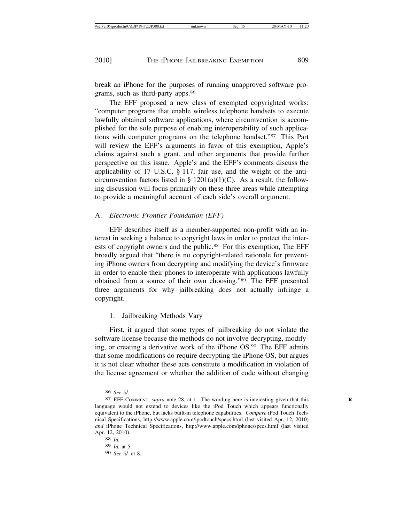break an iPhone for the purposes of running unapproved software programs, such as third-party apps.86

The EFF proposed a new class of exempted copyrighted works: "computer programs that enable wireless telephone handsets to execute lawfully obtained software applications, where circumvention is accomplished for the sole purpose of enabling interoperability of such applications with computer programs on the telephone handset."87 This Part will review the EFF's arguments in favor of this exemption, Apple's claims against such a grant, and other arguments that provide further perspective on this issue. Apple's and the EFF's comments discuss the applicability of 17 U.S.C. § 117, fair use, and the weight of the anticircumvention factors listed in §  $1201(a)(1)(C)$ . As a result, the following discussion will focus primarily on these three areas while attempting to provide a meaningful account of each side's overall argument.

# A. *Electronic Frontier Foundation (EFF)*

EFF describes itself as a member-supported non-profit with an interest in seeking a balance to copyright laws in order to protect the interests of copyright owners and the public.<sup>88</sup> For this exemption, The EFF broadly argued that "there is no copyright-related rationale for preventing iPhone owners from decrypting and modifying the device's firmware in order to enable their phones to interoperate with applications lawfully obtained from a source of their own choosing."89 The EFF presented three arguments for why jailbreaking does not actually infringe a copyright.

# 1. Jailbreaking Methods Vary

First, it argued that some types of jailbreaking do not violate the software license because the methods do not involve decrypting, modifying, or creating a derivative work of the iPhone OS.90 The EFF admits that some modifications do require decrypting the iPhone OS, but argues it is not clear whether these acts constitute a modification in violation of the license agreement or whether the addition of code without changing

<sup>86</sup> *See id.*

<sup>87</sup> EFF COMMENT, *supra* note 28, at 1. The wording here is interesting given that this **R** language would not extend to devices like the iPod Touch which appears functionally equivalent to the iPhone, but lacks built-in telephone capabilities. *Compare* iPod Touch Technical Specifications, http://www.apple.com/ipodtouch/specs.html (last visited Apr. 12, 2010) *and* iPhone Technical Specifications, http://www.apple.com/iphone/specs.html (last visited Apr. 12, 2010).

<sup>88</sup> *Id.* 89 *Id.* at 5.

<sup>90</sup> *See id.* at 8.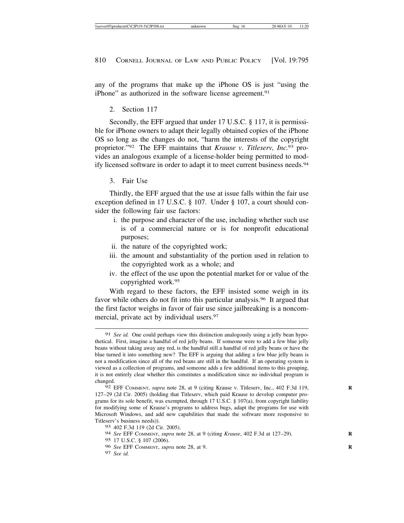any of the programs that make up the iPhone OS is just "using the iPhone" as authorized in the software license agreement.<sup>91</sup>

2. Section 117

Secondly, the EFF argued that under 17 U.S.C. § 117, it is permissible for iPhone owners to adapt their legally obtained copies of the iPhone OS so long as the changes do not, "harm the interests of the copyright proprietor."92 The EFF maintains that *Krause v. Titleserv, Inc.*93 provides an analogous example of a license-holder being permitted to modify licensed software in order to adapt it to meet current business needs.<sup>94</sup>

3. Fair Use

Thirdly, the EFF argued that the use at issue falls within the fair use exception defined in 17 U.S.C. § 107. Under § 107, a court should consider the following fair use factors:

- i. the purpose and character of the use, including whether such use is of a commercial nature or is for nonprofit educational purposes;
- ii. the nature of the copyrighted work;
- iii. the amount and substantiality of the portion used in relation to the copyrighted work as a whole; and
- iv. the effect of the use upon the potential market for or value of the copyrighted work.95

With regard to these factors, the EFF insisted some weigh in its favor while others do not fit into this particular analysis.<sup>96</sup> It argued that the first factor weighs in favor of fair use since jailbreaking is a noncommercial, private act by individual users.<sup>97</sup>

95 17 U.S.C. § 107 (2006).

97 *See id.*

<sup>91</sup> *See id.* One could perhaps view this distinction analogously using a jelly bean hypothetical. First, imagine a handful of red jelly beans. If someone were to add a few blue jelly beans without taking away any red, is the handful still a handful of red jelly beans or have the blue turned it into something new? The EFF is arguing that adding a few blue jelly beans is not a modification since all of the red beans are still in the handful. If an operating system is viewed as a collection of programs, and someone adds a few additional items to this grouping, it is not entirely clear whether this constitutes a modification since no individual program is changed.

<sup>92</sup> EFF COMMENT, *supra* note 28, at 9 (citing Krause v. Titleserv, Inc., 402 F.3d 119, **R** 127–29 (2d Cir. 2005) (holding that Titleserv, which paid Krause to develop computer programs for its sole benefit, was exempted, through 17 U.S.C. § 107(a), from copyright liability for modifying some of Krause's programs to address bugs, adapt the programs for use with Microsoft Windows, and add new capabilities that made the software more responsive to Titleserv's business needs)).

<sup>93</sup> 402 F.3d 119 (2d Cir. 2005).

<sup>94</sup> *See* EFF COMMENT, *supra* note 28, at 9 (citing *Krause*, 402 F.3d at 127–29). **R**

<sup>96</sup> *See* EFF COMMENT, *supra* note 28, at 9. **R**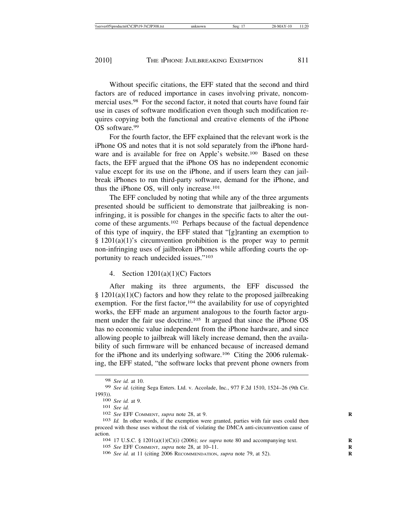Without specific citations, the EFF stated that the second and third factors are of reduced importance in cases involving private, noncommercial uses.98 For the second factor, it noted that courts have found fair use in cases of software modification even though such modification requires copying both the functional and creative elements of the iPhone OS software.99

For the fourth factor, the EFF explained that the relevant work is the iPhone OS and notes that it is not sold separately from the iPhone hardware and is available for free on Apple's website.<sup>100</sup> Based on these facts, the EFF argued that the iPhone OS has no independent economic value except for its use on the iPhone, and if users learn they can jailbreak iPhones to run third-party software, demand for the iPhone, and thus the iPhone OS, will only increase.101

The EFF concluded by noting that while any of the three arguments presented should be sufficient to demonstrate that jailbreaking is noninfringing, it is possible for changes in the specific facts to alter the outcome of these arguments.102 Perhaps because of the factual dependence of this type of inquiry, the EFF stated that "[g]ranting an exemption to  $§$  1201(a)(1)'s circumvention prohibition is the proper way to permit non-infringing uses of jailbroken iPhones while affording courts the opportunity to reach undecided issues."103

# 4. Section 1201(a)(1)(C) Factors

After making its three arguments, the EFF discussed the  $§ 1201(a)(1)(C)$  factors and how they relate to the proposed jailbreaking exemption. For the first factor,<sup>104</sup> the availability for use of copyrighted works, the EFF made an argument analogous to the fourth factor argument under the fair use doctrine.<sup>105</sup> It argued that since the iPhone OS has no economic value independent from the iPhone hardware, and since allowing people to jailbreak will likely increase demand, then the availability of such firmware will be enhanced because of increased demand for the iPhone and its underlying software.106 Citing the 2006 rulemaking, the EFF stated, "the software locks that prevent phone owners from

<sup>98</sup> *See id.* at 10.

<sup>99</sup> *See id.* (citing Sega Enters. Ltd. v. Accolade, Inc*.*, 977 F.2d 1510, 1524–26 (9th Cir.

<sup>1993)).</sup> <sup>100</sup> *See id.* at 9. <sup>101</sup> *See id.* <sup>102</sup> *See* EFF COMMENT, *supra* note 28, at 9. **<sup>R</sup>**

<sup>103</sup> *Id.* In other words, if the exemption were granted, parties with fair uses could then proceed with those uses without the risk of violating the DMCA anti-circumvention cause of action.<br><sup>104</sup> 17 U.S.C. § 1201(a)(1)(C)(i) (2006); *see supra* note 80 and accompanying text.

<sup>105</sup> *See* EFF COMMENT, *supra* note 28, at 10–11. **R**

<sup>106</sup> *See id.* at 11 (citing 2006 RECOMMENDATION, *supra* note 79, at 52). **R**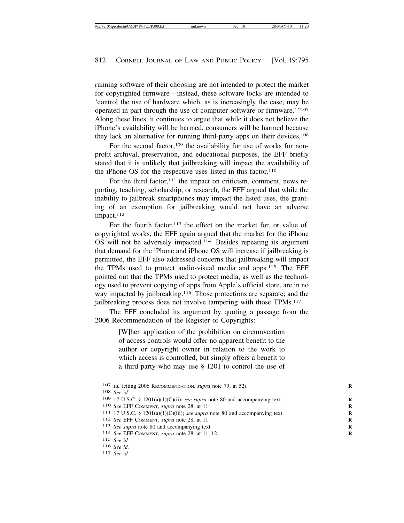running software of their choosing are not intended to protect the market for copyrighted firmware—instead, these software locks are intended to 'control the use of hardware which, as is increasingly the case, may be operated in part through the use of computer software or firmware.'"107 Along these lines, it continues to argue that while it does not believe the iPhone's availability will be harmed, consumers will be harmed because they lack an alternative for running third-party apps on their devices.108

For the second factor,<sup>109</sup> the availability for use of works for nonprofit archival, preservation, and educational purposes, the EFF briefly stated that it is unlikely that jailbreaking will impact the availability of the iPhone OS for the respective uses listed in this factor.<sup>110</sup>

For the third factor, $111$  the impact on criticism, comment, news reporting, teaching, scholarship, or research, the EFF argued that while the inability to jailbreak smartphones may impact the listed uses, the granting of an exemption for jailbreaking would not have an adverse impact.<sup>112</sup>

For the fourth factor,  $113$  the effect on the market for, or value of, copyrighted works, the EFF again argued that the market for the iPhone OS will not be adversely impacted.114 Besides repeating its argument that demand for the iPhone and iPhone OS will increase if jailbreaking is permitted, the EFF also addressed concerns that jailbreaking will impact the TPMs used to protect audio-visual media and apps.115 The EFF pointed out that the TPMs used to protect media, as well as the technology used to prevent copying of apps from Apple's official store, are in no way impacted by jailbreaking.<sup>116</sup> Those protections are separate; and the jailbreaking process does not involve tampering with those TPMs.117

The EFF concluded its argument by quoting a passage from the 2006 Recommendation of the Register of Copyrights:

> [W]hen application of the prohibition on circumvention of access controls would offer no apparent benefit to the author or copyright owner in relation to the work to which access is controlled, but simply offers a benefit to a third-party who may use § 1201 to control the use of

<sup>107</sup> *Id.* (citing 2006 RECOMMENDATION, *supra* note 79, at 52).

<sup>108</sup> *See id.*

<sup>109 17</sup> U.S.C. §  $1201(a)(1)(C)(ii)$ ; *see supra* note 80 and accompanying text.

<sup>110</sup> *See* EFF COMMENT, *supra* note 28, at 11. **R**

<sup>111</sup> 17 U.S.C. § 1201(a)(1)(C)(iii); *see supra* note 80 and accompanying text. **R**

<sup>112</sup> *See* EFF COMMENT, *supra* note 28, at 11. **R**

<sup>113</sup> *See supra* note 80 and accompanying text. **R**

<sup>114</sup> *See* EFF COMMENT, *supra* note 28, at 11–12. **R**

<sup>115</sup> *See id.*

<sup>116</sup> *See id.* <sup>117</sup> *See id.*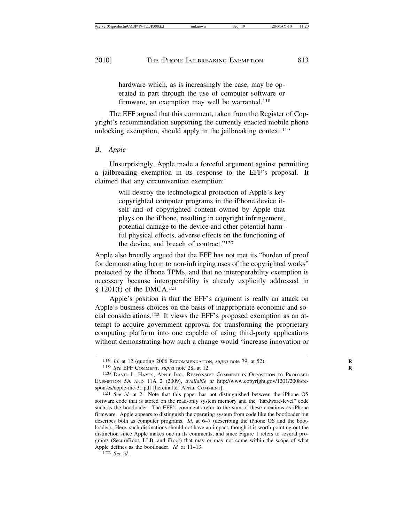hardware which, as is increasingly the case, may be operated in part through the use of computer software or firmware, an exemption may well be warranted.<sup>118</sup>

The EFF argued that this comment, taken from the Register of Copyright's recommendation supporting the currently enacted mobile phone unlocking exemption, should apply in the jailbreaking context.119

# B. *Apple*

Unsurprisingly, Apple made a forceful argument against permitting a jailbreaking exemption in its response to the EFF's proposal. It claimed that any circumvention exemption:

> will destroy the technological protection of Apple's key copyrighted computer programs in the iPhone device itself and of copyrighted content owned by Apple that plays on the iPhone, resulting in copyright infringement, potential damage to the device and other potential harmful physical effects, adverse effects on the functioning of the device, and breach of contract."120

Apple also broadly argued that the EFF has not met its "burden of proof for demonstrating harm to non-infringing uses of the copyrighted works" protected by the iPhone TPMs, and that no interoperability exemption is necessary because interoperability is already explicitly addressed in § 1201(f) of the DMCA.<sup>121</sup>

Apple's position is that the EFF's argument is really an attack on Apple's business choices on the basis of inappropriate economic and social considerations.122 It views the EFF's proposed exemption as an attempt to acquire government approval for transforming the proprietary computing platform into one capable of using third-party applications without demonstrating how such a change would "increase innovation or

<sup>118</sup> *Id.* at 12 (quoting 2006 RECOMMENDATION, *supra* note 79, at 52). **R**

<sup>119</sup> *See* EFF COMMENT, *supra* note 28, at 12. **R**

<sup>120</sup> DAVID L. HAYES, APPLE INC., RESPONSIVE COMMENT IN OPPOSITION TO PROPOSED EXEMPTION 5A AND 11A 2 (2009), *available at* http://www.copyright.gov/1201/2008/responses/apple-inc-31.pdf [hereinafter APPLE COMMENT]. <sup>121</sup> *See id.* at 2. Note that this paper has not distinguished between the iPhone OS

software code that is stored on the read-only system memory and the "hardware-level" code such as the bootloader. The EFF's comments refer to the sum of these creations as iPhone firmware. Apple appears to distinguish the operating system from code like the bootloader but describes both as computer programs. *Id.* at 6–7 (describing the iPhone OS and the bootloader). Here, such distinctions should not have an impact, though it is worth pointing out the distinction since Apple makes one in its comments, and since Figure 1 refers to several programs (SecureBoot, LLB, and iBoot) that may or may not come within the scope of what Apple defines as the bootloader. *Id.* at 11–13. <sup>122</sup> *See id.*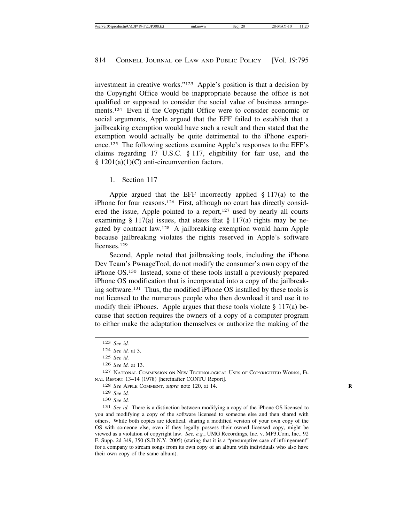investment in creative works."123 Apple's position is that a decision by the Copyright Office would be inappropriate because the office is not qualified or supposed to consider the social value of business arrangements.124 Even if the Copyright Office were to consider economic or social arguments, Apple argued that the EFF failed to establish that a jailbreaking exemption would have such a result and then stated that the exemption would actually be quite detrimental to the iPhone experience.125 The following sections examine Apple's responses to the EFF's claims regarding 17 U.S.C. § 117, eligibility for fair use, and the § 1201(a)(1)(C) anti-circumvention factors.

1. Section 117

Apple argued that the EFF incorrectly applied  $\S 117(a)$  to the iPhone for four reasons.126 First, although no court has directly considered the issue, Apple pointed to a report,<sup>127</sup> used by nearly all courts examining  $\S 117(a)$  issues, that states that  $\S 117(a)$  rights may be negated by contract law.128 A jailbreaking exemption would harm Apple because jailbreaking violates the rights reserved in Apple's software licenses<sup>129</sup>

Second, Apple noted that jailbreaking tools, including the iPhone Dev Team's PwnageTool, do not modify the consumer's own copy of the iPhone OS.130 Instead, some of these tools install a previously prepared iPhone OS modification that is incorporated into a copy of the jailbreaking software.131 Thus, the modified iPhone OS installed by these tools is not licensed to the numerous people who then download it and use it to modify their iPhones. Apple argues that these tools violate  $\S 117(a)$  because that section requires the owners of a copy of a computer program to either make the adaptation themselves or authorize the making of the

129 *See id.*

130 *See id.*

131 *See id.* There is a distinction between modifying a copy of the iPhone OS licensed to you and modifying a copy of the software licensed to someone else and then shared with others. While both copies are identical, sharing a modified version of your own copy of the OS with someone else, even if they legally possess their owned licensed copy, might be viewed as a violation of copyright law. *See, e.g.*, UMG Recordings, Inc. v. MP3.Com, Inc., 92 F. Supp. 2d 349, 350 (S.D.N.Y. 2005) (stating that it is a "presumptive case of infringement" for a company to stream songs from its own copy of an album with individuals who also have their own copy of the same album).

<sup>123</sup> *See id.*

<sup>124</sup> *See id.* at 3.

<sup>125</sup> *See id.*

<sup>126</sup> *See id.* at 13.

<sup>127</sup> NATIONAL COMMISSION ON NEW TECHNOLOGICAL USES OF COPYRIGHTED WORKS, FI-NAL REPORT 13–14 (1978) [hereinafter CONTU Report].

<sup>128</sup> *See* APPLE COMMENT, *supra* note 120, at 14. **R**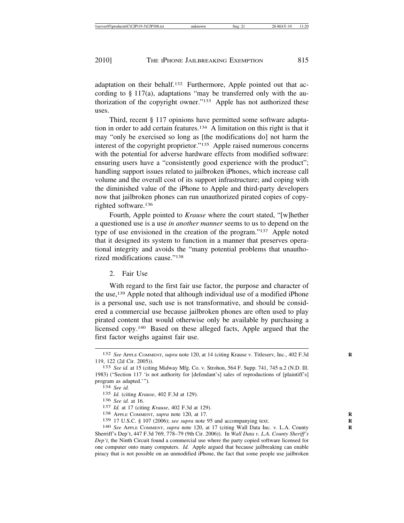adaptation on their behalf.132 Furthermore, Apple pointed out that according to § 117(a), adaptations "may be transferred only with the authorization of the copyright owner."133 Apple has not authorized these uses.

Third, recent § 117 opinions have permitted some software adaptation in order to add certain features.134 A limitation on this right is that it may "only be exercised so long as [the modifications do] not harm the interest of the copyright proprietor."135 Apple raised numerous concerns with the potential for adverse hardware effects from modified software: ensuring users have a "consistently good experience with the product"; handling support issues related to jailbroken iPhones, which increase call volume and the overall cost of its support infrastructure; and coping with the diminished value of the iPhone to Apple and third-party developers now that jailbroken phones can run unauthorized pirated copies of copyrighted software.136

Fourth, Apple pointed to *Krause* where the court stated, "[w]hether a questioned use is a use *in another manner* seems to us to depend on the type of use envisioned in the creation of the program."137 Apple noted that it designed its system to function in a manner that preserves operational integrity and avoids the "many potential problems that unauthorized modifications cause."138

### 2. Fair Use

With regard to the first fair use factor, the purpose and character of the use,139 Apple noted that although individual use of a modified iPhone is a personal use, such use is not transformative, and should be considered a commercial use because jailbroken phones are often used to play pirated content that would otherwise only be available by purchasing a licensed copy.140 Based on these alleged facts, Apple argued that the first factor weighs against fair use.

<sup>132</sup> *See* APPLE COMMENT, *supra* note 120, at 14 (citing Krause v. Titleserv, Inc., 402 F.3d **R** 119, 122 (2d Cir. 2005)). <sup>133</sup> *See id.* at 15 (citing Midway Mfg. Co. v. Strohon, 564 F. Supp. 741, 745 n.2 (N.D. Ill.

<sup>1983) (&</sup>quot;Section 117 'is not authority for [defendant's] sales of reproductions of [plaintiff's] program as adapted.'"). <sup>134</sup> *See id.*

<sup>135</sup> *Id.* (citing *Krause*, 402 F.3d at 129).

<sup>136</sup> *See id.* at 16. <sup>137</sup> *Id.* at 17 (citing *Krause*, 402 F.3d at 129). <sup>138</sup> APPLE COMMENT, *supra* note 120, at 17. **<sup>R</sup>**

<sup>139</sup> 17 U.S.C. § 107 (2006); *see supra* note 95 and accompanying text. **R**

<sup>140</sup> *See* APPLE COMMENT, *supra* note 120, at 17 (citing Wall Data Inc. v. L.A. County **R** Sherriff's Dep't, 447 F.3d 769, 778–79 (9th Cir. 2006)). In *Wall Data v. L.A. County Sheriff's Dep't*, the Ninth Circuit found a commercial use where the party copied software licensed for one computer onto many computers. *Id.* Apple argued that because jailbreaking can enable piracy that is not possible on an unmodified iPhone, the fact that some people use jailbroken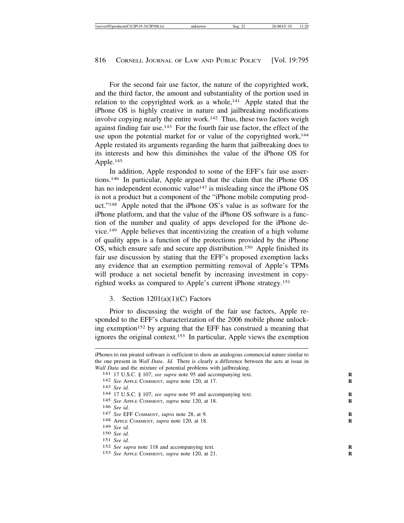For the second fair use factor, the nature of the copyrighted work, and the third factor, the amount and substantiality of the portion used in relation to the copyrighted work as a whole,<sup>141</sup> Apple stated that the iPhone OS is highly creative in nature and jailbreaking modifications involve copying nearly the entire work.<sup>142</sup> Thus, these two factors weigh against finding fair use.143 For the fourth fair use factor, the effect of the use upon the potential market for or value of the copyrighted work,<sup>144</sup> Apple restated its arguments regarding the harm that jailbreaking does to its interests and how this diminishes the value of the iPhone OS for Apple.145

In addition, Apple responded to some of the EFF's fair use assertions.146 In particular, Apple argued that the claim that the iPhone OS has no independent economic value<sup>147</sup> is misleading since the iPhone OS is not a product but a component of the "iPhone mobile computing product."148 Apple noted that the iPhone OS's value is as software for the iPhone platform, and that the value of the iPhone OS software is a function of the number and quality of apps developed for the iPhone device.149 Apple believes that incentivizing the creation of a high volume of quality apps is a function of the protections provided by the iPhone OS, which ensure safe and secure app distribution.150 Apple finished its fair use discussion by stating that the EFF's proposed exemption lacks any evidence that an exemption permitting removal of Apple's TPMs will produce a net societal benefit by increasing investment in copyrighted works as compared to Apple's current iPhone strategy.151

### 3. Section  $1201(a)(1)(C)$  Factors

Prior to discussing the weight of the fair use factors, Apple responded to the EFF's characterization of the 2006 mobile phone unlocking exemption<sup>152</sup> by arguing that the EFF has construed a meaning that ignores the original context.153 In particular, Apple views the exemption

- 149 *See id.*
- 150 *See id.*

iPhones to run pirated software is sufficient to show an analogous commercial nature similar to the one present in *Wall Data*. *Id.* There is clearly a difference between the acts at issue in *Wall Data* and the mixture of potential problems with jailbreaking. <sup>141</sup> 17 U.S.C. § 107; *see supra* note 95 and accompanying text.

<sup>142</sup> *See* APPLE COMMENT, *supra* note 120, at 17. **R**

<sup>144 17</sup> U.S.C. § 107; see supra note 95 and accompanying text.

<sup>145</sup> *See* APPLE COMMENT, *supra* note 120, at 18. **R**

<sup>147</sup> *See* EFF COMMENT, *supra* note 28, at 9.

<sup>148</sup> APPLE COMMENT, *supra* note 120, at 18. **R**

<sup>151</sup> *See id.*

<sup>152</sup> *See supra* note 118 and accompanying text. **R**

<sup>153</sup> *See* APPLE COMMENT, *supra* note 120, at 21. **R**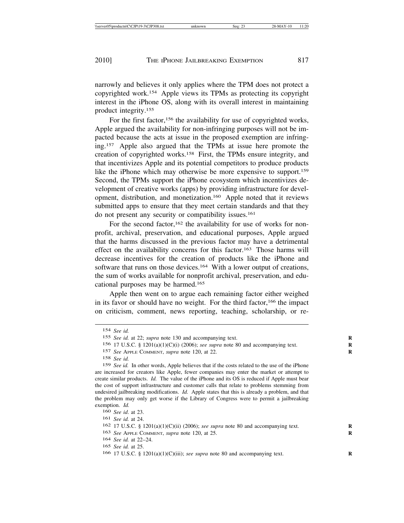narrowly and believes it only applies where the TPM does not protect a copyrighted work.154 Apple views its TPMs as protecting its copyright interest in the iPhone OS, along with its overall interest in maintaining product integrity.155

For the first factor,<sup>156</sup> the availability for use of copyrighted works, Apple argued the availability for non-infringing purposes will not be impacted because the acts at issue in the proposed exemption are infringing.157 Apple also argued that the TPMs at issue here promote the creation of copyrighted works.158 First, the TPMs ensure integrity, and that incentivizes Apple and its potential competitors to produce products like the iPhone which may otherwise be more expensive to support.<sup>159</sup> Second, the TPMs support the iPhone ecosystem which incentivizes development of creative works (apps) by providing infrastructure for development, distribution, and monetization.160 Apple noted that it reviews submitted apps to ensure that they meet certain standards and that they do not present any security or compatibility issues.161

For the second factor,<sup>162</sup> the availability for use of works for nonprofit, archival, preservation, and educational purposes, Apple argued that the harms discussed in the previous factor may have a detrimental effect on the availability concerns for this factor.163 Those harms will decrease incentives for the creation of products like the iPhone and software that runs on those devices.<sup>164</sup> With a lower output of creations, the sum of works available for nonprofit archival, preservation, and educational purposes may be harmed.165

Apple then went on to argue each remaining factor either weighed in its favor or should have no weight. For the third factor,166 the impact on criticism, comment, news reporting, teaching, scholarship, or re-

157 *See* APPLE COMMENT, *supra* note 120, at 22. **R**

164 *See id.* at 22–24.

<sup>154</sup> *See id.*

<sup>155</sup> *See id.* at 22; *supra* note 130 and accompanying text. **R**

<sup>156</sup> 17 U.S.C. § 1201(a)(1)(C)(i) (2006); *see supra* note 80 and accompanying text. **R**

<sup>158</sup> *See id.*

<sup>159</sup> *See id.* In other words, Apple believes that if the costs related to the use of the iPhone are increased for creators like Apple, fewer companies may enter the market or attempt to create similar products. *Id.* The value of the iPhone and its OS is reduced if Apple must bear the cost of support infrastructure and customer calls that relate to problems stemming from undesired jailbreaking modifications. *Id.* Apple states that this is already a problem, and that the problem may only get worse if the Library of Congress were to permit a jailbreaking exemption. *Id.*

<sup>160</sup> *See id*. at 23.

<sup>161</sup> *See id.* at 24.

<sup>162</sup> 17 U.S.C. § 1201(a)(1)(C)(ii) (2006); *see supra* note 80 and accompanying text. **R**

<sup>163</sup> *See* APPLE COMMENT, *supra* note 120, at 25. **R**

<sup>165</sup> *See id.* at 25.

<sup>166 17</sup> U.S.C. §  $1201(a)(1)(C)(iii)$ ; *see supra* note 80 and accompanying text.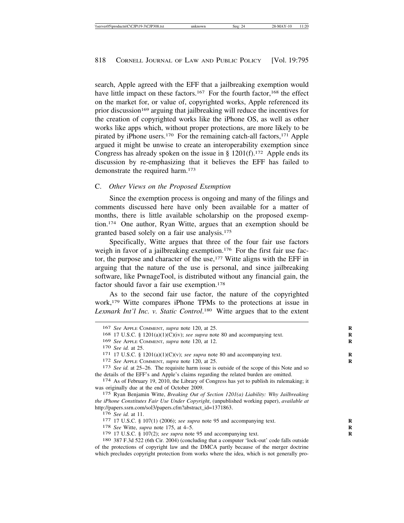search, Apple agreed with the EFF that a jailbreaking exemption would have little impact on these factors.<sup>167</sup> For the fourth factor,<sup>168</sup> the effect on the market for, or value of, copyrighted works, Apple referenced its prior discussion169 arguing that jailbreaking will reduce the incentives for the creation of copyrighted works like the iPhone OS, as well as other works like apps which, without proper protections, are more likely to be pirated by iPhone users.170 For the remaining catch-all factors,171 Apple argued it might be unwise to create an interoperability exemption since Congress has already spoken on the issue in  $\S$  1201(f).<sup>172</sup> Apple ends its discussion by re-emphasizing that it believes the EFF has failed to demonstrate the required harm.<sup>173</sup>

### C. *Other Views on the Proposed Exemption*

Since the exemption process is ongoing and many of the filings and comments discussed here have only been available for a matter of months, there is little available scholarship on the proposed exemption.174 One author, Ryan Witte, argues that an exemption should be granted based solely on a fair use analysis.175

Specifically, Witte argues that three of the four fair use factors weigh in favor of a jailbreaking exemption.<sup>176</sup> For the first fair use factor, the purpose and character of the use,<sup>177</sup> Witte aligns with the EFF in arguing that the nature of the use is personal, and since jailbreaking software, like PwnageTool, is distributed without any financial gain, the factor should favor a fair use exemption.178

As to the second fair use factor, the nature of the copyrighted work,179 Witte compares iPhone TPMs to the protections at issue in *Lexmark Int'l Inc. v. Static Control*. 180 Witte argues that to the extent

<sup>167</sup> *See* APPLE COMMENT, *supra* note 120, at 25. **R**

<sup>168 17</sup> U.S.C. §  $1201(a)(1)(C)(iv)$ ; *see supra* note 80 and accompanying text.

<sup>169</sup> *See* APPLE COMMENT, *supra* note 120, at 12. **R**

<sup>171 17</sup> U.S.C. §  $1201(a)(1)(C)(v)$ ; *see supra* note 80 and accompanying text.

<sup>172</sup> *See* APPLE COMMENT, *supra* note 120, at 25. **R**

<sup>173</sup> *See id.* at 25–26. The requisite harm issue is outside of the scope of this Note and so the details of the EFF's and Apple's claims regarding the related burden are omitted.<br><sup>174</sup> As of February 19, 2010, the Library of Congress has yet to publish its rulemaking; it

was originally due at the end of October 2009.

<sup>175</sup> Ryan Benjamin Witte, *Breaking Out of Section 1201(a) Liability: Why Jailbreaking the iPhone Constitutes Fair Use Under Copyright*, (unpublished working paper), *available at* http://papers.ssrn.com/sol3/papers.cfm?abstract\_id=1371863.<br>176 See id. at 11.

<sup>177 17</sup> U.S.C. § 107(1) (2006); *see supra* note 95 and accompanying text.

<sup>178</sup> *See* Witte, *supra* note 175, at 4–5. **R**

<sup>179</sup> 17 U.S.C. § 107(2); *see supra* note 95 and accompanying text. **R**

<sup>180</sup> 387 F.3d 522 (6th Cir. 2004) (concluding that a computer 'lock-out' code falls outside of the protections of copyright law and the DMCA partly because of the merger doctrine which precludes copyright protection from works where the idea, which is not generally pro-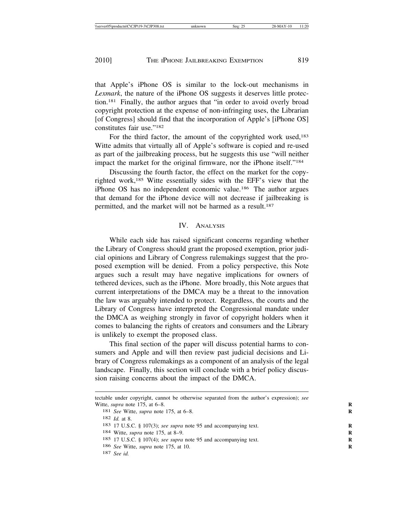that Apple's iPhone OS is similar to the lock-out mechanisms in *Lexmark*, the nature of the iPhone OS suggests it deserves little protection.181 Finally, the author argues that "in order to avoid overly broad copyright protection at the expense of non-infringing uses, the Librarian [of Congress] should find that the incorporation of Apple's [iPhone OS] constitutes fair use."<sup>182</sup>

For the third factor, the amount of the copyrighted work used,<sup>183</sup> Witte admits that virtually all of Apple's software is copied and re-used as part of the jailbreaking process, but he suggests this use "will neither impact the market for the original firmware, nor the iPhone itself."184

Discussing the fourth factor, the effect on the market for the copyrighted work,185 Witte essentially sides with the EFF's view that the iPhone OS has no independent economic value.186 The author argues that demand for the iPhone device will not decrease if jailbreaking is permitted, and the market will not be harmed as a result.187

#### IV. ANALYSIS

While each side has raised significant concerns regarding whether the Library of Congress should grant the proposed exemption, prior judicial opinions and Library of Congress rulemakings suggest that the proposed exemption will be denied. From a policy perspective, this Note argues such a result may have negative implications for owners of tethered devices, such as the iPhone. More broadly, this Note argues that current interpretations of the DMCA may be a threat to the innovation the law was arguably intended to protect. Regardless, the courts and the Library of Congress have interpreted the Congressional mandate under the DMCA as weighing strongly in favor of copyright holders when it comes to balancing the rights of creators and consumers and the Library is unlikely to exempt the proposed class.

This final section of the paper will discuss potential harms to consumers and Apple and will then review past judicial decisions and Library of Congress rulemakings as a component of an analysis of the legal landscape. Finally, this section will conclude with a brief policy discussion raising concerns about the impact of the DMCA.

tectable under copyright, cannot be otherwise separated from the author's expression); *see* Witte, *supra* note 175, at 6-8.

<sup>181</sup> *See* Witte, *supra* note 175, at 6-8.

<sup>182</sup> *Id.* at 8.

<sup>183</sup> 17 U.S.C. § 107(3); *see supra* note 95 and accompanying text. **R**

<sup>184</sup> Witte, *supra* note 175, at 8–9. **R**

<sup>185</sup> 17 U.S.C. § 107(4); *see supra* note 95 and accompanying text. **R**

<sup>186</sup> *See* Witte, *supra* note 175, at 10. **R**

<sup>187</sup> *See id.*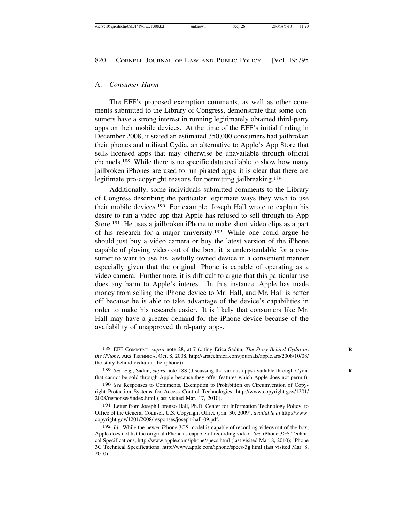#### A. *Consumer Harm*

The EFF's proposed exemption comments, as well as other comments submitted to the Library of Congress, demonstrate that some consumers have a strong interest in running legitimately obtained third-party apps on their mobile devices. At the time of the EFF's initial finding in December 2008, it stated an estimated 350,000 consumers had jailbroken their phones and utilized Cydia, an alternative to Apple's App Store that sells licensed apps that may otherwise be unavailable through official channels.188 While there is no specific data available to show how many jailbroken iPhones are used to run pirated apps, it is clear that there are legitimate pro-copyright reasons for permitting jailbreaking.<sup>189</sup>

Additionally, some individuals submitted comments to the Library of Congress describing the particular legitimate ways they wish to use their mobile devices.190 For example, Joseph Hall wrote to explain his desire to run a video app that Apple has refused to sell through its App Store.191 He uses a jailbroken iPhone to make short video clips as a part of his research for a major university.192 While one could argue he should just buy a video camera or buy the latest version of the iPhone capable of playing video out of the box, it is understandable for a consumer to want to use his lawfully owned device in a convenient manner especially given that the original iPhone is capable of operating as a video camera. Furthermore, it is difficult to argue that this particular use does any harm to Apple's interest. In this instance, Apple has made money from selling the iPhone device to Mr. Hall, and Mr. Hall is better off because he is able to take advantage of the device's capabilities in order to make his research easier. It is likely that consumers like Mr. Hall may have a greater demand for the iPhone device because of the availability of unapproved third-party apps.

<sup>188</sup> EFF COMMENT, *supra* note 28, at 7 (citing Erica Sadun, *The Story Behind Cydia on* **R** *the iPhone*, ARS TECHNICA, Oct. 8, 2008, http://arstechnica.com/journals/apple.ars/2008/10/08/ the-story-behind-cydia-on-the-iphone)).

<sup>189</sup> *See, e.g.*, Sadun, *supra* note 188 (discussing the various apps available through Cydia **R** that cannot be sold through Apple because they offer features which Apple does not permit).

<sup>190</sup> *See* Responses to Comments, Exemption to Prohibition on Circumvention of Copyright Protection Systems for Access Control Technologies, http://www.copyright.gov/1201/ 2008/responses/index.html (last visited Mar. 17, 2010).

<sup>191</sup> Letter from Joseph Lorenzo Hall, Ph.D, Center for Information Technology Policy, to Office of the General Counsel, U.S. Copyright Office (Jan. 30, 2009), *available at* http://www. copyright.gov/1201/2008/responses/joseph-hall-09.pdf.

<sup>192</sup> *Id.* While the newer iPhone 3GS model is capable of recording videos out of the box, Apple does not list the original iPhone as capable of recording video. *See* iPhone 3GS Technical Specifications, http://www.apple.com/iphone/specs.html (last visited Mar. 8, 2010); iPhone 3G Technical Specifications, http://www.apple.com/iphone/specs-3g.html (last visited Mar. 8, 2010).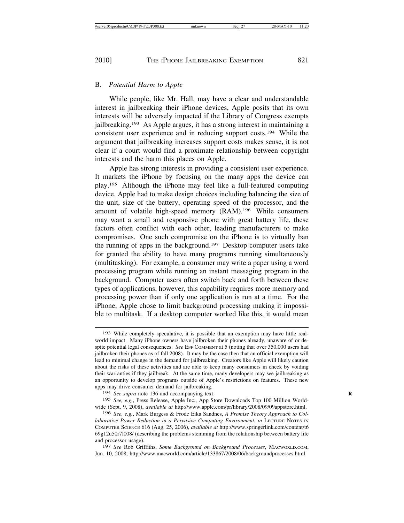#### B. *Potential Harm to Apple*

While people, like Mr. Hall, may have a clear and understandable interest in jailbreaking their iPhone devices, Apple posits that its own interests will be adversely impacted if the Library of Congress exempts jailbreaking.193 As Apple argues, it has a strong interest in maintaining a consistent user experience and in reducing support costs.194 While the argument that jailbreaking increases support costs makes sense, it is not clear if a court would find a proximate relationship between copyright interests and the harm this places on Apple.

Apple has strong interests in providing a consistent user experience. It markets the iPhone by focusing on the many apps the device can play.195 Although the iPhone may feel like a full-featured computing device, Apple had to make design choices including balancing the size of the unit, size of the battery, operating speed of the processor, and the amount of volatile high-speed memory (RAM).196 While consumers may want a small and responsive phone with great battery life, these factors often conflict with each other, leading manufacturers to make compromises. One such compromise on the iPhone is to virtually ban the running of apps in the background.197 Desktop computer users take for granted the ability to have many programs running simultaneously (multitasking). For example, a consumer may write a paper using a word processing program while running an instant messaging program in the background. Computer users often switch back and forth between these types of applications, however, this capability requires more memory and processing power than if only one application is run at a time. For the iPhone, Apple chose to limit background processing making it impossible to multitask. If a desktop computer worked like this, it would mean

194 *See supra* note 136 and accompanying text. **R**

195 *See, e.g.*, Press Release, Apple Inc., App Store Downloads Top 100 Million Worldwide (Sept. 9, 2008), *available at* http://www.apple.com/pr/library/2008/09/09appstore.html.

196 *See, e.g.*, Mark Burgess & Frode Eika Sandnes, *A Promise Theory Approach to Collaborative Power Reduction in a Pervasive Computing Environment, in LECTURE NOTES IN* COMPUTER SCIENCE 616 (Aug. 25, 2006), *available at* http://www.springerlink.com/content/t6 69g12u50r7l008/ (describing the problems stemming from the relationship between battery life and processor usage).

197 *See* Rob Griffiths, *Some Background on Background Processes*, MACWORLD.COM, Jun. 10, 2008, http://www.macworld.com/article/133867/2008/06/backgroundprocesses.html.

<sup>193</sup> While completely speculative, it is possible that an exemption may have little realworld impact. Many iPhone owners have jailbroken their phones already, unaware of or despite potential legal consequences. *See* EFF COMMENT at 5 (noting that over 350,000 users had jailbroken their phones as of fall 2008). It may be the case then that an official exemption will lead to minimal change in the demand for jailbreaking. Creators like Apple will likely caution about the risks of these activities and are able to keep many consumers in check by voiding their warranties if they jailbreak. At the same time, many developers may see jailbreaking as an opportunity to develop programs outside of Apple's restrictions on features. These new apps may drive consumer demand for jailbreaking.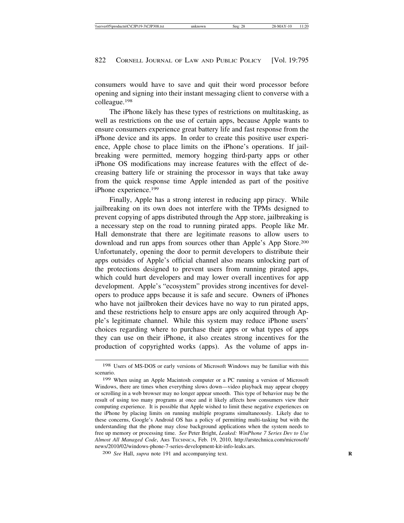consumers would have to save and quit their word processor before opening and signing into their instant messaging client to converse with a colleague.198

The iPhone likely has these types of restrictions on multitasking, as well as restrictions on the use of certain apps, because Apple wants to ensure consumers experience great battery life and fast response from the iPhone device and its apps. In order to create this positive user experience, Apple chose to place limits on the iPhone's operations. If jailbreaking were permitted, memory hogging third-party apps or other iPhone OS modifications may increase features with the effect of decreasing battery life or straining the processor in ways that take away from the quick response time Apple intended as part of the positive iPhone experience.199

Finally, Apple has a strong interest in reducing app piracy. While jailbreaking on its own does not interfere with the TPMs designed to prevent copying of apps distributed through the App store, jailbreaking is a necessary step on the road to running pirated apps. People like Mr. Hall demonstrate that there are legitimate reasons to allow users to download and run apps from sources other than Apple's App Store.200 Unfortunately, opening the door to permit developers to distribute their apps outsides of Apple's official channel also means unlocking part of the protections designed to prevent users from running pirated apps, which could hurt developers and may lower overall incentives for app development. Apple's "ecosystem" provides strong incentives for developers to produce apps because it is safe and secure. Owners of iPhones who have not jailbroken their devices have no way to run pirated apps, and these restrictions help to ensure apps are only acquired through Apple's legitimate channel. While this system may reduce iPhone users' choices regarding where to purchase their apps or what types of apps they can use on their iPhone, it also creates strong incentives for the production of copyrighted works (apps). As the volume of apps in-

<sup>198</sup> Users of MS-DOS or early versions of Microsoft Windows may be familiar with this scenario.

<sup>199</sup> When using an Apple Macintosh computer or a PC running a version of Microsoft Windows, there are times when everything slows down—video playback may appear choppy or scrolling in a web browser may no longer appear smooth. This type of behavior may be the result of using too many programs at once and it likely affects how consumers view their computing experience. It is possible that Apple wished to limit these negative experiences on the iPhone by placing limits on running multiple programs simultaneously. Likely due to these concerns, Google's Android OS has a policy of permitting multi-tasking but with the understanding that the phone may close background applications when the system needs to free up memory or processing time. *See* Peter Bright, *Leaked: WinPhone 7 Series Dev to Use Almost All Managed Code*, ARS TECHNICA, Feb. 19, 2010, http://arstechnica.com/microsoft/ news/2010/02/windows-phone-7-series-development-kit-info-leaks.ars.

<sup>200</sup> *See* Hall, *supra* note 191 and accompanying text. **R**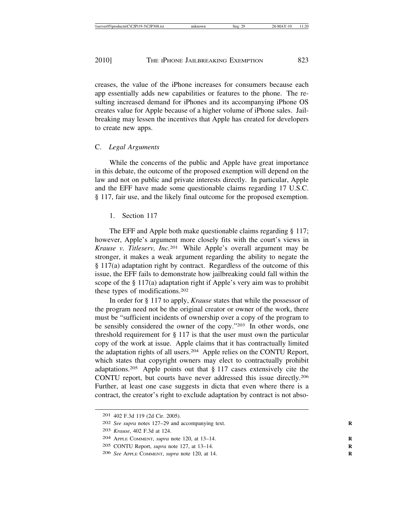creases, the value of the iPhone increases for consumers because each app essentially adds new capabilities or features to the phone. The resulting increased demand for iPhones and its accompanying iPhone OS creates value for Apple because of a higher volume of iPhone sales. Jailbreaking may lessen the incentives that Apple has created for developers to create new apps.

## C. *Legal Arguments*

While the concerns of the public and Apple have great importance in this debate, the outcome of the proposed exemption will depend on the law and not on public and private interests directly. In particular, Apple and the EFF have made some questionable claims regarding 17 U.S.C. § 117, fair use, and the likely final outcome for the proposed exemption.

1. Section 117

The EFF and Apple both make questionable claims regarding § 117; however, Apple's argument more closely fits with the court's views in *Krause v. Titleserv, Inc.*201 While Apple's overall argument may be stronger, it makes a weak argument regarding the ability to negate the § 117(a) adaptation right by contract. Regardless of the outcome of this issue, the EFF fails to demonstrate how jailbreaking could fall within the scope of the § 117(a) adaptation right if Apple's very aim was to prohibit these types of modifications.202

In order for § 117 to apply, *Krause* states that while the possessor of the program need not be the original creator or owner of the work, there must be "sufficient incidents of ownership over a copy of the program to be sensibly considered the owner of the copy."203 In other words, one threshold requirement for § 117 is that the user must own the particular copy of the work at issue. Apple claims that it has contractually limited the adaptation rights of all users.204 Apple relies on the CONTU Report, which states that copyright owners may elect to contractually prohibit adaptations.205 Apple points out that § 117 cases extensively cite the CONTU report, but courts have never addressed this issue directly.206 Further, at least one case suggests in dicta that even where there is a contract, the creator's right to exclude adaptation by contract is not abso-

<sup>201</sup> 402 F.3d 119 (2d Cir. 2005).

<sup>202</sup> *See supra* notes 127–29 and accompanying text. **R**

<sup>203</sup> *Krause*, 402 F.3d at 124.

<sup>204</sup> APPLE COMMENT, *supra* note 120, at 13–14. **R**

<sup>205</sup> CONTU Report, *supra* note 127, at 13–14. **R**

<sup>206</sup> *See* APPLE COMMENT, *supra* note 120, at 14. **R**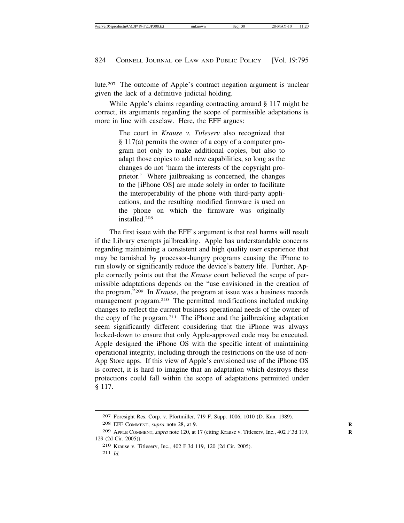lute.207 The outcome of Apple's contract negation argument is unclear given the lack of a definitive judicial holding.

While Apple's claims regarding contracting around § 117 might be correct, its arguments regarding the scope of permissible adaptations is more in line with caselaw. Here, the EFF argues:

> The court in *Krause v. Titleserv* also recognized that § 117(a) permits the owner of a copy of a computer program not only to make additional copies, but also to adapt those copies to add new capabilities, so long as the changes do not 'harm the interests of the copyright proprietor.' Where jailbreaking is concerned, the changes to the [iPhone OS] are made solely in order to facilitate the interoperability of the phone with third-party applications, and the resulting modified firmware is used on the phone on which the firmware was originally installed.208

The first issue with the EFF's argument is that real harms will result if the Library exempts jailbreaking. Apple has understandable concerns regarding maintaining a consistent and high quality user experience that may be tarnished by processor-hungry programs causing the iPhone to run slowly or significantly reduce the device's battery life. Further, Apple correctly points out that the *Krause* court believed the scope of permissible adaptations depends on the "use envisioned in the creation of the program."209 In *Krause*, the program at issue was a business records management program.210 The permitted modifications included making changes to reflect the current business operational needs of the owner of the copy of the program.211 The iPhone and the jailbreaking adaptation seem significantly different considering that the iPhone was always locked-down to ensure that only Apple-approved code may be executed. Apple designed the iPhone OS with the specific intent of maintaining operational integrity, including through the restrictions on the use of non-App Store apps. If this view of Apple's envisioned use of the iPhone OS is correct, it is hard to imagine that an adaptation which destroys these protections could fall within the scope of adaptations permitted under § 117.

208 EFF COMMENT, *supra* note 28, at 9. **R**

210 Krause v. Titleserv, Inc., 402 F.3d 119, 120 (2d Cir. 2005).

<sup>207</sup> Foresight Res. Corp. v. Pfortmiller, 719 F. Supp. 1006, 1010 (D. Kan. 1989).

<sup>209</sup> APPLE COMMENT, *supra* note 120, at 17 (citing Krause v. Titleserv, Inc., 402 F.3d 119, **R** 129 (2d Cir. 2005)).

<sup>211</sup> *Id.*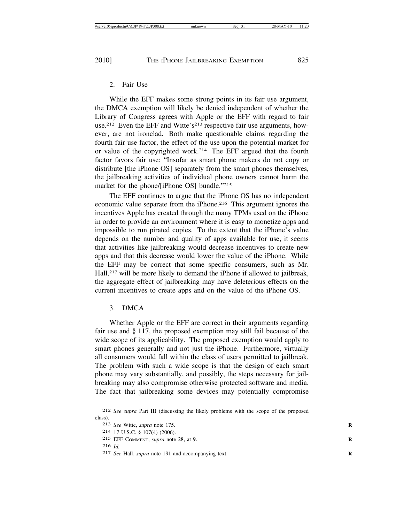### 2. Fair Use

While the EFF makes some strong points in its fair use argument, the DMCA exemption will likely be denied independent of whether the Library of Congress agrees with Apple or the EFF with regard to fair use.<sup>212</sup> Even the EFF and Witte's<sup>213</sup> respective fair use arguments, however, are not ironclad. Both make questionable claims regarding the fourth fair use factor, the effect of the use upon the potential market for or value of the copyrighted work.214 The EFF argued that the fourth factor favors fair use: "Insofar as smart phone makers do not copy or distribute [the iPhone OS] separately from the smart phones themselves, the jailbreaking activities of individual phone owners cannot harm the market for the phone/[iPhone OS] bundle."215

The EFF continues to argue that the iPhone OS has no independent economic value separate from the iPhone.216 This argument ignores the incentives Apple has created through the many TPMs used on the iPhone in order to provide an environment where it is easy to monetize apps and impossible to run pirated copies. To the extent that the iPhone's value depends on the number and quality of apps available for use, it seems that activities like jailbreaking would decrease incentives to create new apps and that this decrease would lower the value of the iPhone. While the EFF may be correct that some specific consumers, such as Mr. Hall,<sup>217</sup> will be more likely to demand the iPhone if allowed to jailbreak, the aggregate effect of jailbreaking may have deleterious effects on the current incentives to create apps and on the value of the iPhone OS.

## 3. DMCA

Whether Apple or the EFF are correct in their arguments regarding fair use and § 117, the proposed exemption may still fail because of the wide scope of its applicability. The proposed exemption would apply to smart phones generally and not just the iPhone. Furthermore, virtually all consumers would fall within the class of users permitted to jailbreak. The problem with such a wide scope is that the design of each smart phone may vary substantially, and possibly, the steps necessary for jailbreaking may also compromise otherwise protected software and media. The fact that jailbreaking some devices may potentially compromise

<sup>212</sup> *See supra* Part III (discussing the likely problems with the scope of the proposed class).

<sup>213</sup> *See* Witte, *supra* note 175. **R**

<sup>214</sup> 17 U.S.C. § 107(4) (2006).

<sup>215</sup> EFF COMMENT, *supra* note 28, at 9. **R**

<sup>216</sup> *Id.*

<sup>217</sup> *See* Hall, *supra* note 191 and accompanying text. **R**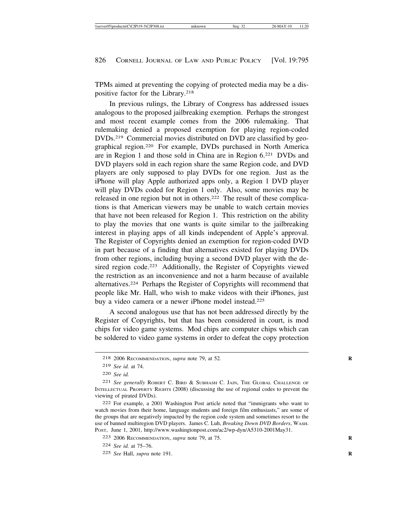TPMs aimed at preventing the copying of protected media may be a dispositive factor for the Library.218

In previous rulings, the Library of Congress has addressed issues analogous to the proposed jailbreaking exemption. Perhaps the strongest and most recent example comes from the 2006 rulemaking. That rulemaking denied a proposed exemption for playing region-coded DVDs.219 Commercial movies distributed on DVD are classified by geographical region.220 For example, DVDs purchased in North America are in Region 1 and those sold in China are in Region 6.221 DVDs and DVD players sold in each region share the same Region code, and DVD players are only supposed to play DVDs for one region. Just as the iPhone will play Apple authorized apps only, a Region 1 DVD player will play DVDs coded for Region 1 only. Also, some movies may be released in one region but not in others.222 The result of these complications is that American viewers may be unable to watch certain movies that have not been released for Region 1. This restriction on the ability to play the movies that one wants is quite similar to the jailbreaking interest in playing apps of all kinds independent of Apple's approval. The Register of Copyrights denied an exemption for region-coded DVD in part because of a finding that alternatives existed for playing DVDs from other regions, including buying a second DVD player with the desired region code.<sup>223</sup> Additionally, the Register of Copyrights viewed the restriction as an inconvenience and not a harm because of available alternatives.224 Perhaps the Register of Copyrights will recommend that people like Mr. Hall, who wish to make videos with their iPhones, just buy a video camera or a newer iPhone model instead.<sup>225</sup>

A second analogous use that has not been addressed directly by the Register of Copyrights, but that has been considered in court, is mod chips for video game systems. Mod chips are computer chips which can be soldered to video game systems in order to defeat the copy protection

<sup>218</sup> 2006 RECOMMENDATION, *supra* note 79, at 52. **R**

<sup>219</sup> *See id.* at 74.

<sup>220</sup> *See id.*

<sup>221</sup> *See generally* ROBERT C. BIRD & SUBHASH C. JAIN, THE GLOBAL CHALLENGE OF INTELLECTUAL PROPERTY RIGHTS (2008) (discussing the use of regional codes to prevent the viewing of pirated DVDs).

<sup>222</sup> For example, a 2001 Washington Post article noted that "immigrants who want to watch movies from their home, language students and foreign film enthusiasts," are some of the groups that are negatively impacted by the region code system and sometimes resort to the use of banned multiregion DVD players. James C. Luh, *Breaking Down DVD Borders*, WASH. POST, June 1, 2001, http://www.washingtonpost.com/ac2/wp-dyn/A5310-2001May31.

<sup>223</sup> 2006 RECOMMENDATION, *supra* note 79, at 75. **R**

<sup>224</sup> *See id.* at 75–76.

<sup>225</sup> *See* Hall, *supra* note 191. **R**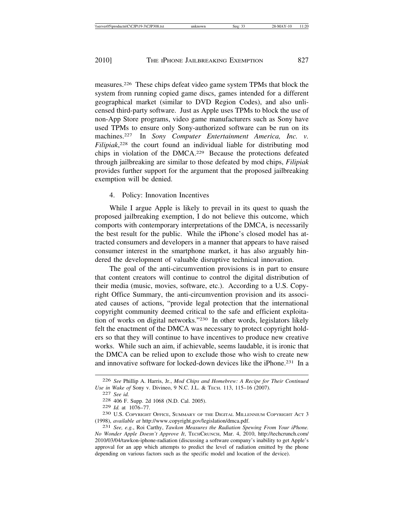measures.226 These chips defeat video game system TPMs that block the system from running copied game discs, games intended for a different geographical market (similar to DVD Region Codes), and also unlicensed third-party software. Just as Apple uses TPMs to block the use of non-App Store programs, video game manufacturers such as Sony have used TPMs to ensure only Sony-authorized software can be run on its machines.227 In *Sony Computer Entertainment America, Inc. v. Filipiak*, 228 the court found an individual liable for distributing mod chips in violation of the DMCA.229 Because the protections defeated through jailbreaking are similar to those defeated by mod chips, *Filipiak* provides further support for the argument that the proposed jailbreaking exemption will be denied.

## 4. Policy: Innovation Incentives

While I argue Apple is likely to prevail in its quest to quash the proposed jailbreaking exemption, I do not believe this outcome, which comports with contemporary interpretations of the DMCA, is necessarily the best result for the public. While the iPhone's closed model has attracted consumers and developers in a manner that appears to have raised consumer interest in the smartphone market, it has also arguably hindered the development of valuable disruptive technical innovation.

The goal of the anti-circumvention provisions is in part to ensure that content creators will continue to control the digital distribution of their media (music, movies, software, etc.). According to a U.S. Copyright Office Summary, the anti-circumvention provision and its associated causes of actions, "provide legal protection that the international copyright community deemed critical to the safe and efficient exploitation of works on digital networks."230 In other words, legislators likely felt the enactment of the DMCA was necessary to protect copyright holders so that they will continue to have incentives to produce new creative works. While such an aim, if achievable, seems laudable, it is ironic that the DMCA can be relied upon to exclude those who wish to create new and innovative software for locked-down devices like the iPhone.<sup>231</sup> In a

<sup>226</sup> *See* Phillip A. Harris, Jr., *Mod Chips and Homebrew: A Recipe for Their Continued Use in Wake of* Sony v. Divineo, 9 N.C. J.L. & TECH. 113, 115–16 (2007).<br>
<sup>227</sup> *See id.* 228 406 F. Supp. 2d 1068 (N.D. Cal. 2005).<br>
<sup>229</sup> *Id.* at 1076–77.

<sup>&</sup>lt;sup>230</sup> U.S. COPYRIGHT OFFICE, SUMMARY OF THE DIGITAL MILLENNIUM COPYRIGHT ACT 3 (1998), *available at* http://www.copyright.gov/legislation/dmca.pdf. <sup>231</sup> *See, e.g.*, Roi Carthy, *Tawkon Measures the Radiation Spewing From Your iPhone.*

*No Wonder Apple Doesn't Approve It*, TECHCRUNCH, Mar. 4, 2010, http://techcrunch.com/ 2010/03/04/tawkon-iphone-radiation (discussing a software company's inability to get Apple's approval for an app which attempts to predict the level of radiation emitted by the phone depending on various factors such as the specific model and location of the device).